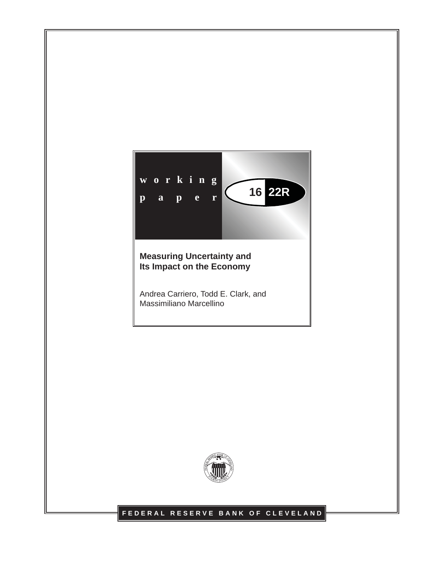

### **Measuring Uncertainty and Its Impact on the Economy**

Andrea Carriero, Todd E. Clark, and Massimiliano Marcellino



### **FEDERAL RESERVE BANK OF CLEVELAND**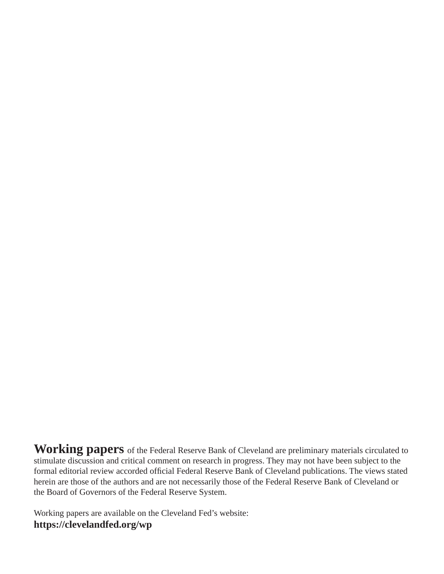**Working papers** of the Federal Reserve Bank of Cleveland are preliminary materials circulated to stimulate discussion and critical comment on research in progress. They may not have been subject to the formal editorial review accorded official Federal Reserve Bank of Cleveland publications. The views stated herein are those of the authors and are not necessarily those of the Federal Reserve Bank of Cleveland or the Board of Governors of the Federal Reserve System.

Working papers are available on the Cleveland Fed's website: **https://clevelandfed.org/wp**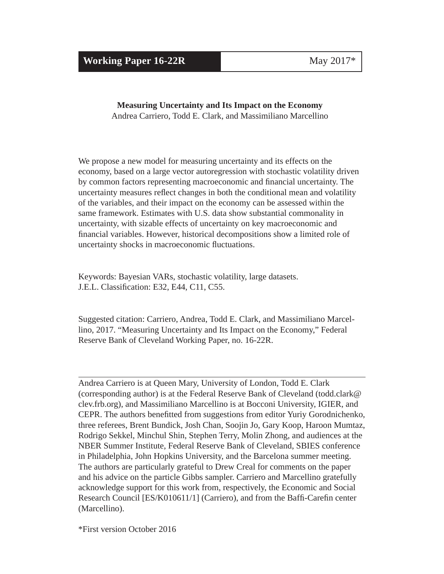**Working Paper 16-22R** May 2017\*

### **Measuring Uncertainty and Its Impact on the Economy** Andrea Carriero, Todd E. Clark, and Massimiliano Marcellino

We propose a new model for measuring uncertainty and its effects on the economy, based on a large vector autoregression with stochastic volatility driven by common factors representing macroeconomic and financial uncertainty. The uncertainty measures reflect changes in both the conditional mean and volatility of the variables, and their impact on the economy can be assessed within the same framework. Estimates with U.S. data show substantial commonality in uncertainty, with sizable effects of uncertainty on key macroeconomic and financial variables. However, historical decompositions show a limited role of

Keywords: Bayesian VARs, stochastic volatility, large datasets. J.E.L. Classification: E32, E44, C11, C55.

uncertainty shocks in macroeconomic fluctuations.

Suggested citation: Carriero, Andrea, Todd E. Clark, and Massimiliano Marcellino, 2017. "Measuring Uncertainty and Its Impact on the Economy," Federal Reserve Bank of Cleveland Working Paper, no. 16-22R.

Andrea Carriero is at Queen Mary, University of London, Todd E. Clark (corresponding author) is at the Federal Reserve Bank of Cleveland (todd.clark@ clev.frb.org), and Massimiliano Marcellino is at Bocconi University, IGIER, and CEPR. The authors benefitted from suggestions from editor Yuriy Gorodnichenko, three referees, Brent Bundick, Josh Chan, Soojin Jo, Gary Koop, Haroon Mumtaz, Rodrigo Sekkel, Minchul Shin, Stephen Terry, Molin Zhong, and audiences at the NBER Summer Institute, Federal Reserve Bank of Cleveland, SBIES conference in Philadelphia, John Hopkins University, and the Barcelona summer meeting. The authors are particularly grateful to Drew Creal for comments on the paper and his advice on the particle Gibbs sampler. Carriero and Marcellino gratefully acknowledge support for this work from, respectively, the Economic and Social Research Council [ES/K010611/1] (Carriero), and from the Baffi-Carefin center (Marcellino).

\*First version October 2016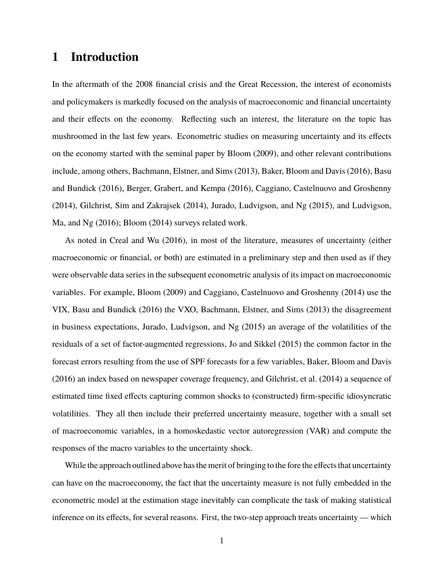# **1 Introduction**

In the aftermath of the 2008 financial crisis and the Great Recession, the interest of economists and policymakers is markedly focused on the analysis of macroeconomic and financial uncertainty and their effects on the economy. Reflecting such an interest, the literature on the topic has mushroomed in the last few years. Econometric studies on measuring uncertainty and its effects on the economy started with the seminal paper by Bloom (2009), and other relevant contributions include, among others, Bachmann, Elstner, and Sims (2013), Baker, Bloom and Davis (2016), Basu and Bundick (2016), Berger, Grabert, and Kempa (2016), Caggiano, Castelnuovo and Groshenny (2014), Gilchrist, Sim and Zakrajsek (2014), Jurado, Ludvigson, and Ng (2015), and Ludvigson, Ma, and Ng (2016); Bloom (2014) surveys related work.

As noted in Creal and Wu (2016), in most of the literature, measures of uncertainty (either macroeconomic or financial, or both) are estimated in a preliminary step and then used as if they were observable data series in the subsequent econometric analysis of its impact on macroeconomic variables. For example, Bloom (2009) and Caggiano, Castelnuovo and Groshenny (2014) use the VIX, Basu and Bundick (2016) the VXO, Bachmann, Elstner, and Sims (2013) the disagreement in business expectations, Jurado, Ludvigson, and Ng (2015) an average of the volatilities of the residuals of a set of factor-augmented regressions, Jo and Sikkel (2015) the common factor in the forecast errors resulting from the use of SPF forecasts for a few variables, Baker, Bloom and Davis (2016) an index based on newspaper coverage frequency, and Gilchrist, et al. (2014) a sequence of estimated time fixed effects capturing common shocks to (constructed) firm-specific idiosyncratic volatilities. They all then include their preferred uncertainty measure, together with a small set of macroeconomic variables, in a homoskedastic vector autoregression (VAR) and compute the responses of the macro variables to the uncertainty shock.

While the approach outlined above has the merit of bringing to the fore the effects that uncertainty can have on the macroeconomy, the fact that the uncertainty measure is not fully embedded in the econometric model at the estimation stage inevitably can complicate the task of making statistical inference on its effects, for several reasons. First, the two-step approach treats uncertainty — which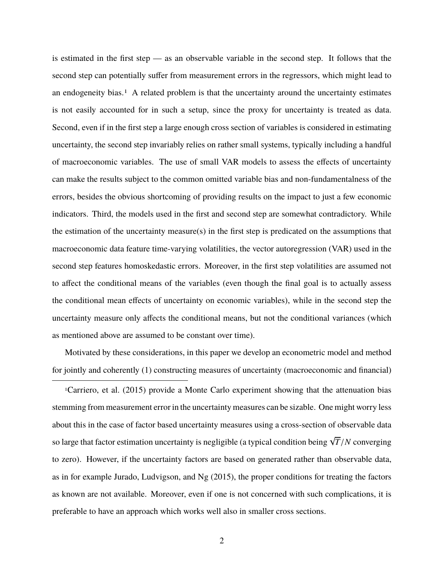is estimated in the first step — as an observable variable in the second step. It follows that the second step can potentially suffer from measurement errors in the regressors, which might lead to an endogeneity bias.<sup>1</sup> A related problem is that the uncertainty around the uncertainty estimates is not easily accounted for in such a setup, since the proxy for uncertainty is treated as data. Second, even if in the first step a large enough cross section of variables is considered in estimating uncertainty, the second step invariably relies on rather small systems, typically including a handful of macroeconomic variables. The use of small VAR models to assess the effects of uncertainty can make the results subject to the common omitted variable bias and non-fundamentalness of the errors, besides the obvious shortcoming of providing results on the impact to just a few economic indicators. Third, the models used in the first and second step are somewhat contradictory. While the estimation of the uncertainty measure(s) in the first step is predicated on the assumptions that macroeconomic data feature time-varying volatilities, the vector autoregression (VAR) used in the second step features homoskedastic errors. Moreover, in the first step volatilities are assumed not to affect the conditional means of the variables (even though the final goal is to actually assess the conditional mean effects of uncertainty on economic variables), while in the second step the uncertainty measure only affects the conditional means, but not the conditional variances (which as mentioned above are assumed to be constant over time).

Motivated by these considerations, in this paper we develop an econometric model and method for jointly and coherently (1) constructing measures of uncertainty (macroeconomic and financial)

1Carriero, et al. (2015) provide a Monte Carlo experiment showing that the attenuation bias stemming from measurement error in the uncertainty measures can be sizable. One might worry less about this in the case of factor based uncertainty measures using a cross-section of observable data so large that factor estimation uncertainty is negligible (a typical condition being  $\sqrt{}$ *<sup>T</sup>*/*<sup>N</sup>* converging to zero). However, if the uncertainty factors are based on generated rather than observable data, as in for example Jurado, Ludvigson, and Ng (2015), the proper conditions for treating the factors as known are not available. Moreover, even if one is not concerned with such complications, it is preferable to have an approach which works well also in smaller cross sections.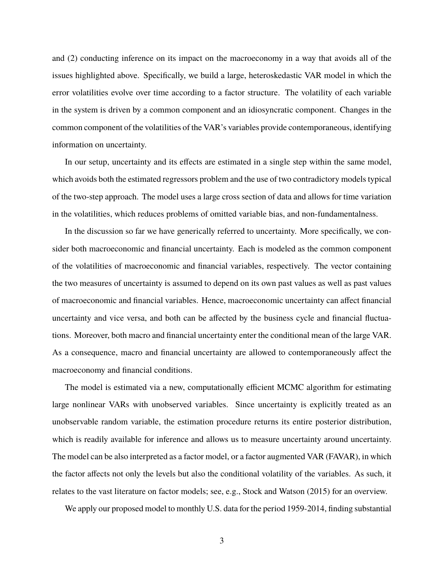and (2) conducting inference on its impact on the macroeconomy in a way that avoids all of the issues highlighted above. Specifically, we build a large, heteroskedastic VAR model in which the error volatilities evolve over time according to a factor structure. The volatility of each variable in the system is driven by a common component and an idiosyncratic component. Changes in the common component of the volatilities of the VAR's variables provide contemporaneous, identifying information on uncertainty.

In our setup, uncertainty and its effects are estimated in a single step within the same model, which avoids both the estimated regressors problem and the use of two contradictory models typical of the two-step approach. The model uses a large cross section of data and allows for time variation in the volatilities, which reduces problems of omitted variable bias, and non-fundamentalness.

In the discussion so far we have generically referred to uncertainty. More specifically, we consider both macroeconomic and financial uncertainty. Each is modeled as the common component of the volatilities of macroeconomic and financial variables, respectively. The vector containing the two measures of uncertainty is assumed to depend on its own past values as well as past values of macroeconomic and financial variables. Hence, macroeconomic uncertainty can affect financial uncertainty and vice versa, and both can be affected by the business cycle and financial fluctuations. Moreover, both macro and financial uncertainty enter the conditional mean of the large VAR. As a consequence, macro and financial uncertainty are allowed to contemporaneously affect the macroeconomy and financial conditions.

The model is estimated via a new, computationally efficient MCMC algorithm for estimating large nonlinear VARs with unobserved variables. Since uncertainty is explicitly treated as an unobservable random variable, the estimation procedure returns its entire posterior distribution, which is readily available for inference and allows us to measure uncertainty around uncertainty. The model can be also interpreted as a factor model, or a factor augmented VAR (FAVAR), in which the factor affects not only the levels but also the conditional volatility of the variables. As such, it relates to the vast literature on factor models; see, e.g., Stock and Watson (2015) for an overview.

We apply our proposed model to monthly U.S. data for the period 1959-2014, finding substantial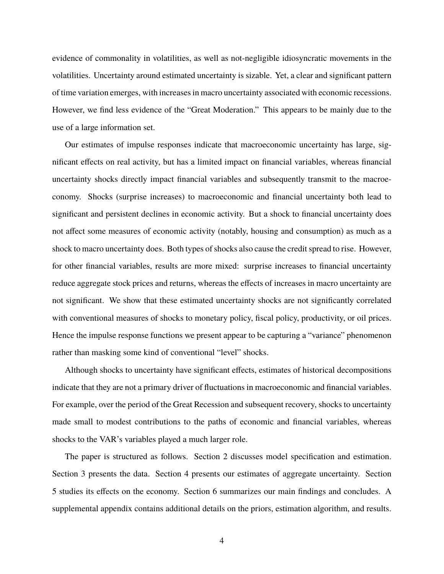evidence of commonality in volatilities, as well as not-negligible idiosyncratic movements in the volatilities. Uncertainty around estimated uncertainty is sizable. Yet, a clear and significant pattern of time variation emerges, with increases in macro uncertainty associated with economic recessions. However, we find less evidence of the "Great Moderation." This appears to be mainly due to the use of a large information set.

Our estimates of impulse responses indicate that macroeconomic uncertainty has large, significant effects on real activity, but has a limited impact on financial variables, whereas financial uncertainty shocks directly impact financial variables and subsequently transmit to the macroeconomy. Shocks (surprise increases) to macroeconomic and financial uncertainty both lead to significant and persistent declines in economic activity. But a shock to financial uncertainty does not affect some measures of economic activity (notably, housing and consumption) as much as a shock to macro uncertainty does. Both types of shocks also cause the credit spread to rise. However, for other financial variables, results are more mixed: surprise increases to financial uncertainty reduce aggregate stock prices and returns, whereas the effects of increases in macro uncertainty are not significant. We show that these estimated uncertainty shocks are not significantly correlated with conventional measures of shocks to monetary policy, fiscal policy, productivity, or oil prices. Hence the impulse response functions we present appear to be capturing a "variance" phenomenon rather than masking some kind of conventional "level" shocks.

Although shocks to uncertainty have significant effects, estimates of historical decompositions indicate that they are not a primary driver of fluctuations in macroeconomic and financial variables. For example, over the period of the Great Recession and subsequent recovery, shocks to uncertainty made small to modest contributions to the paths of economic and financial variables, whereas shocks to the VAR's variables played a much larger role.

The paper is structured as follows. Section 2 discusses model specification and estimation. Section 3 presents the data. Section 4 presents our estimates of aggregate uncertainty. Section 5 studies its effects on the economy. Section 6 summarizes our main findings and concludes. A supplemental appendix contains additional details on the priors, estimation algorithm, and results.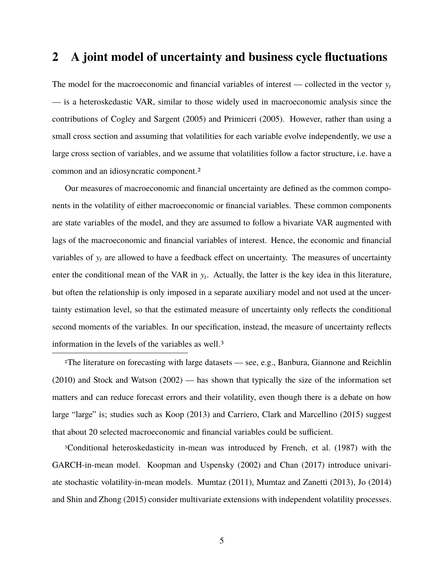## **2 A joint model of uncertainty and business cycle fluctuations**

The model for the macroeconomic and financial variables of interest — collected in the vector  $y_t$ — is a heteroskedastic VAR, similar to those widely used in macroeconomic analysis since the contributions of Cogley and Sargent (2005) and Primiceri (2005). However, rather than using a small cross section and assuming that volatilities for each variable evolve independently, we use a large cross section of variables, and we assume that volatilities follow a factor structure, i.e. have a common and an idiosyncratic component.2

Our measures of macroeconomic and financial uncertainty are defined as the common components in the volatility of either macroeconomic or financial variables. These common components are state variables of the model, and they are assumed to follow a bivariate VAR augmented with lags of the macroeconomic and financial variables of interest. Hence, the economic and financial variables of y*<sup>t</sup>* are allowed to have a feedback effect on uncertainty. The measures of uncertainty enter the conditional mean of the VAR in y*<sup>t</sup>* . Actually, the latter is the key idea in this literature, but often the relationship is only imposed in a separate auxiliary model and not used at the uncertainty estimation level, so that the estimated measure of uncertainty only reflects the conditional second moments of the variables. In our specification, instead, the measure of uncertainty reflects information in the levels of the variables as well.3

2The literature on forecasting with large datasets — see, e.g., Banbura, Giannone and Reichlin (2010) and Stock and Watson (2002) — has shown that typically the size of the information set matters and can reduce forecast errors and their volatility, even though there is a debate on how large "large" is; studies such as Koop (2013) and Carriero, Clark and Marcellino (2015) suggest that about 20 selected macroeconomic and financial variables could be sufficient.

3Conditional heteroskedasticity in-mean was introduced by French, et al. (1987) with the GARCH-in-mean model. Koopman and Uspensky (2002) and Chan (2017) introduce univariate stochastic volatility-in-mean models. Mumtaz (2011), Mumtaz and Zanetti (2013), Jo (2014) and Shin and Zhong (2015) consider multivariate extensions with independent volatility processes.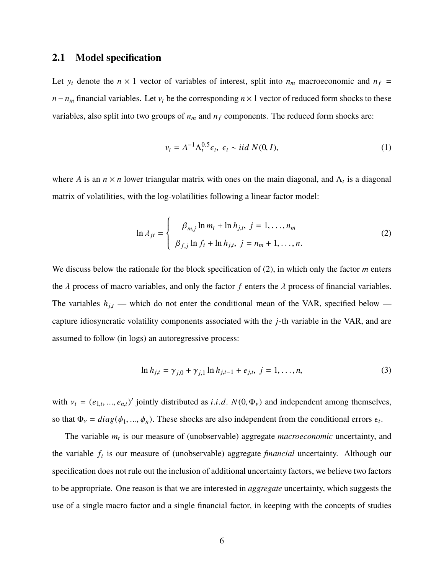#### **2.1 Model specification**

Let  $y_t$  denote the  $n \times 1$  vector of variables of interest, split into  $n_m$  macroeconomic and  $n_f$  = *n* −  $n_m$  financial variables. Let  $v_t$  be the corresponding  $n \times 1$  vector of reduced form shocks to these variables, also split into two groups of  $n<sub>m</sub>$  and  $n<sub>f</sub>$  components. The reduced form shocks are:

$$
v_t = A^{-1} \Lambda_t^{0.5} \epsilon_t, \ \epsilon_t \sim \text{iid } N(0, I), \tag{1}
$$

where *A* is an  $n \times n$  lower triangular matrix with ones on the main diagonal, and  $\Lambda_t$  is a diagonal matrix of volatilities, with the log-volatilities following a linear factor model:

$$
\ln \lambda_{jt} = \begin{cases} \beta_{m,j} \ln m_t + \ln h_{j,t}, & j = 1, ..., n_m \\ \beta_{f,j} \ln f_t + \ln h_{j,t}, & j = n_m + 1, ..., n. \end{cases}
$$
 (2)

We discuss below the rationale for the block specification of (2), in which only the factor *m* enters the  $\lambda$  process of macro variables, and only the factor  $f$  enters the  $\lambda$  process of financial variables. The variables  $h_{j,t}$  — which do not enter the conditional mean of the VAR, specified below capture idiosyncratic volatility components associated with the *j*-th variable in the VAR, and are assumed to follow (in logs) an autoregressive process:

$$
\ln h_{j,t} = \gamma_{j,0} + \gamma_{j,1} \ln h_{j,t-1} + e_{j,t}, \ j = 1, \dots, n,
$$
\n(3)

with  $v_t = (e_{1,t}, ..., e_{n,t})'$  jointly distributed as *i*.*i*.*d*.  $N(0, \Phi_v)$  and independent among themselves, so that  $\Phi_v = diag(\phi_1, ..., \phi_n)$ . These shocks are also independent from the conditional errors  $\epsilon_t$ .

The variable *m<sup>t</sup>* is our measure of (unobservable) aggregate *macroeconomic* uncertainty, and the variable *f<sup>t</sup>* is our measure of (unobservable) aggregate *financial* uncertainty. Although our specification does not rule out the inclusion of additional uncertainty factors, we believe two factors to be appropriate. One reason is that we are interested in *aggregate* uncertainty, which suggests the use of a single macro factor and a single financial factor, in keeping with the concepts of studies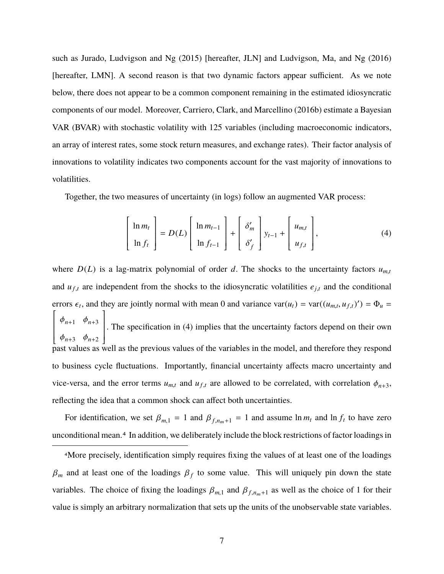such as Jurado, Ludvigson and Ng (2015) [hereafter, JLN] and Ludvigson, Ma, and Ng (2016) [hereafter, LMN]. A second reason is that two dynamic factors appear sufficient. As we note below, there does not appear to be a common component remaining in the estimated idiosyncratic components of our model. Moreover, Carriero, Clark, and Marcellino (2016b) estimate a Bayesian VAR (BVAR) with stochastic volatility with 125 variables (including macroeconomic indicators, an array of interest rates, some stock return measures, and exchange rates). Their factor analysis of innovations to volatility indicates two components account for the vast majority of innovations to volatilities.

Together, the two measures of uncertainty (in logs) follow an augmented VAR process:

$$
\begin{bmatrix} \ln m_t \\ \ln f_t \end{bmatrix} = D(L) \begin{bmatrix} \ln m_{t-1} \\ \ln f_{t-1} \end{bmatrix} + \begin{bmatrix} \delta'_m \\ \delta'_f \end{bmatrix} y_{t-1} + \begin{bmatrix} u_{m,t} \\ u_{f,t} \end{bmatrix},
$$
(4)

where  $D(L)$  is a lag-matrix polynomial of order *d*. The shocks to the uncertainty factors  $u_{m,t}$ and  $u_{f,t}$  are independent from the shocks to the idiosyncratic volatilities  $e_{j,t}$  and the conditional errors  $\epsilon_t$ , and they are jointly normal with mean 0 and variance  $\text{var}(u_t) = \text{var}((u_{m,t}, u_{f,t})') = \Phi_u =$ ſ I  $\mathsf I$ I  $\mathsf I$ I L  $\varphi_{n+1}$   $\varphi_{n+3}$  $\begin{bmatrix} \varphi_{n+3} & \varphi_{n+2} \end{bmatrix}$  and  $\varphi_{n+3}$  are values of the variables in the model, and therefore they respond |<br>|<br>| J . The specification in (4) implies that the uncertainty factors depend on their own to business cycle fluctuations. Importantly, financial uncertainty affects macro uncertainty and vice-versa, and the error terms  $u_{m,t}$  and  $u_{f,t}$  are allowed to be correlated, with correlation  $\phi_{n+3}$ , reflecting the idea that a common shock can affect both uncertainties.

For identification, we set  $\beta_{m,1} = 1$  and  $\beta_{f,n_m+1} = 1$  and assume  $\ln m_t$  and  $\ln f_t$  to have zero unconditional mean.4 In addition, we deliberately include the block restrictions of factor loadings in

4More precisely, identification simply requires fixing the values of at least one of the loadings  $\beta_m$  and at least one of the loadings  $\beta_f$  to some value. This will uniquely pin down the state variables. The choice of fixing the loadings  $\beta_{m,1}$  and  $\beta_{f,n_m+1}$  as well as the choice of 1 for their value is simply an arbitrary normalization that sets up the units of the unobservable state variables.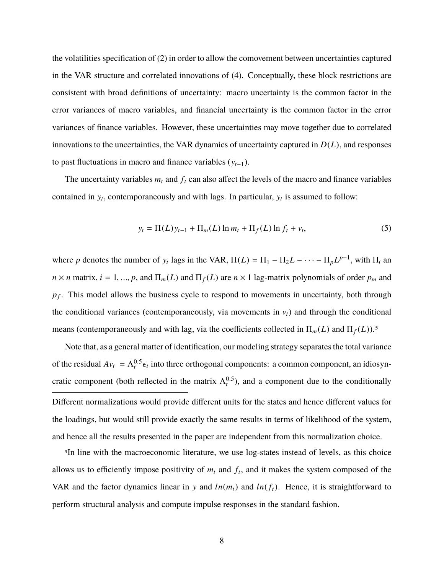the volatilities specification of (2) in order to allow the comovement between uncertainties captured in the VAR structure and correlated innovations of (4). Conceptually, these block restrictions are consistent with broad definitions of uncertainty: macro uncertainty is the common factor in the error variances of macro variables, and financial uncertainty is the common factor in the error variances of finance variables. However, these uncertainties may move together due to correlated innovations to the uncertainties, the VAR dynamics of uncertainty captured in  $D(L)$ , and responses to past fluctuations in macro and finance variables (y*t*−1).

The uncertainty variables  $m_t$  and  $f_t$  can also affect the levels of the macro and finance variables contained in  $y_t$ , contemporaneously and with lags. In particular,  $y_t$  is assumed to follow:

$$
y_t = \Pi(L)y_{t-1} + \Pi_m(L)\ln m_t + \Pi_f(L)\ln f_t + v_t,
$$
\n(5)

where *p* denotes the number of  $y_t$  lags in the VAR,  $\Pi(L) = \Pi_1 - \Pi_2 L - \cdots - \Pi_p L^{p-1}$ , with  $\Pi_i$  and  $n \times n$  matrix,  $i = 1, ..., p$ , and  $\Pi_m(L)$  and  $\Pi_f(L)$  are  $n \times 1$  lag-matrix polynomials of order  $p_m$  and *pf* . This model allows the business cycle to respond to movements in uncertainty, both through the conditional variances (contemporaneously, via movements in  $v_t$ ) and through the conditional means (contemporaneously and with lag, via the coefficients collected in  $\Pi_m(L)$  and  $\Pi_f(L)$ ).<sup>5</sup>

Note that, as a general matter of identification, our modeling strategy separates the total variance of the residual  $Av_t = \Lambda_t^{0.5} \epsilon_t$  into three orthogonal components: a common component, an idiosyncratic component (both reflected in the matrix  $\Lambda_t^{0.5}$ ), and a component due to the conditionally Different normalizations would provide different units for the states and hence different values for the loadings, but would still provide exactly the same results in terms of likelihood of the system, and hence all the results presented in the paper are independent from this normalization choice.

5In line with the macroeconomic literature, we use log-states instead of levels, as this choice allows us to efficiently impose positivity of  $m_t$  and  $f_t$ , and it makes the system composed of the VAR and the factor dynamics linear in y and  $ln(m_t)$  and  $ln(f_t)$ . Hence, it is straightforward to perform structural analysis and compute impulse responses in the standard fashion.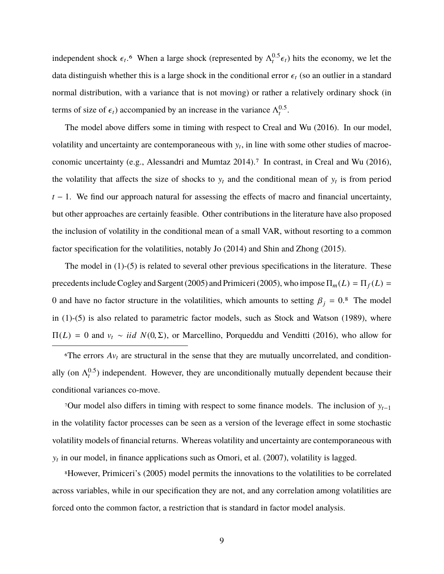independent shock  $\epsilon_t$ <sup>6</sup>. When a large shock (represented by  $\Lambda_t^{0.5} \epsilon_t$ ) hits the economy, we let the data distinguish whether this is a large shock in the conditional error  $\epsilon_t$  (so an outlier in a standard normal distribution, with a variance that is not moving) or rather a relatively ordinary shock (in terms of size of  $\epsilon_t$ ) accompanied by an increase in the variance  $\Lambda_t^{0.5}$ .

The model above differs some in timing with respect to Creal and Wu (2016). In our model, volatility and uncertainty are contemporaneous with  $y_t$ , in line with some other studies of macroeconomic uncertainty (e.g., Alessandri and Mumtaz 2014).<sup>7</sup> In contrast, in Creal and Wu (2016), the volatility that affects the size of shocks to  $y_t$  and the conditional mean of  $y_t$  is from period *t* − 1. We find our approach natural for assessing the effects of macro and financial uncertainty, but other approaches are certainly feasible. Other contributions in the literature have also proposed the inclusion of volatility in the conditional mean of a small VAR, without resorting to a common factor specification for the volatilities, notably Jo (2014) and Shin and Zhong (2015).

The model in  $(1)-(5)$  is related to several other previous specifications in the literature. These precedents include Cogley and Sargent (2005) and Primiceri (2005), who impose  $\Pi_m(L) = \Pi_f(L)$ 0 and have no factor structure in the volatilities, which amounts to setting  $\beta_j = 0.8$  The model in  $(1)-(5)$  is also related to parametric factor models, such as Stock and Watson  $(1989)$ , where <sup>Π</sup>(*L*) <sup>=</sup> 0 and <sup>v</sup>*<sup>t</sup>* <sup>∼</sup> *iid N*(0, <sup>Σ</sup>), or Marcellino, Porqueddu and Venditti (2016), who allow for

 $\delta$ The errors  $Av_t$  are structural in the sense that they are mutually uncorrelated, and conditionally (on  $\Lambda_t^{0.5}$ ) independent. However, they are unconditionally mutually dependent because their conditional variances co-move.

7Our model also differs in timing with respect to some finance models. The inclusion of y*t*−<sup>1</sup> in the volatility factor processes can be seen as a version of the leverage effect in some stochastic volatility models of financial returns. Whereas volatility and uncertainty are contemporaneous with  $y_t$  in our model, in finance applications such as Omori, et al.  $(2007)$ , volatility is lagged.

8However, Primiceri's (2005) model permits the innovations to the volatilities to be correlated across variables, while in our specification they are not, and any correlation among volatilities are forced onto the common factor, a restriction that is standard in factor model analysis.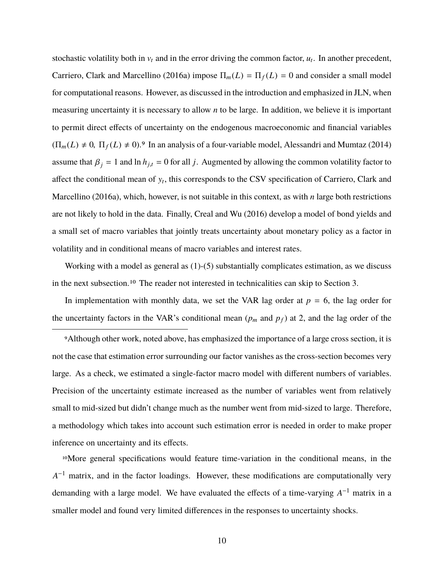stochastic volatility both in  $v_t$  and in the error driving the common factor,  $u_t$ . In another precedent, Carriero, Clark and Marcellino (2016a) impose  $\Pi_m(L) = \Pi_f(L) = 0$  and consider a small model for computational reasons. However, as discussed in the introduction and emphasized in JLN, when measuring uncertainty it is necessary to allow *n* to be large. In addition, we believe it is important to permit direct effects of uncertainty on the endogenous macroeconomic and financial variables  $(\Pi_m(L) \neq 0, \Pi_f(L) \neq 0)$ .<sup>9</sup> In an analysis of a four-variable model, Alessandri and Mumtaz (2014) assume that  $\beta_j = 1$  and  $\ln h_{j,t} = 0$  for all *j*. Augmented by allowing the common volatility factor to affect the conditional mean of y*<sup>t</sup>* , this corresponds to the CSV specification of Carriero, Clark and Marcellino (2016a), which, however, is not suitable in this context, as with *n* large both restrictions are not likely to hold in the data. Finally, Creal and Wu (2016) develop a model of bond yields and a small set of macro variables that jointly treats uncertainty about monetary policy as a factor in volatility and in conditional means of macro variables and interest rates.

Working with a model as general as  $(1)$ - $(5)$  substantially complicates estimation, as we discuss in the next subsection.10 The reader not interested in technicalities can skip to Section 3.

In implementation with monthly data, we set the VAR lag order at  $p = 6$ , the lag order for the uncertainty factors in the VAR's conditional mean  $(p_m$  and  $p_f$ ) at 2, and the lag order of the

9Although other work, noted above, has emphasized the importance of a large cross section, it is not the case that estimation error surrounding our factor vanishes as the cross-section becomes very large. As a check, we estimated a single-factor macro model with different numbers of variables. Precision of the uncertainty estimate increased as the number of variables went from relatively small to mid-sized but didn't change much as the number went from mid-sized to large. Therefore, a methodology which takes into account such estimation error is needed in order to make proper inference on uncertainty and its effects.

10More general specifications would feature time-variation in the conditional means, in the *A*<sup>-1</sup> matrix, and in the factor loadings. However, these modifications are computationally very demanding with a large model. We have evaluated the effects of a time-varying  $A^{-1}$  matrix in a smaller model and found very limited differences in the responses to uncertainty shocks.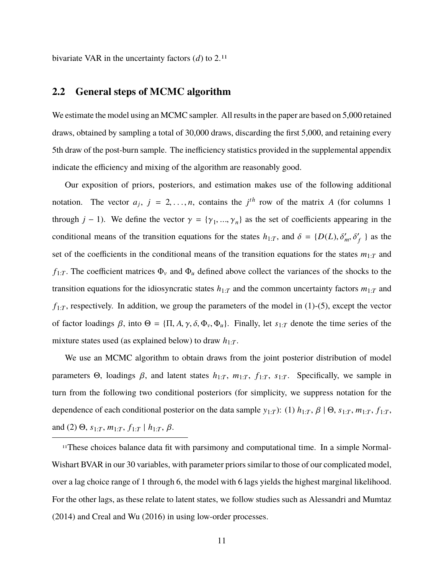bivariate VAR in the uncertainty factors (*d*) to 2.11

### **2.2 General steps of MCMC algorithm**

We estimate the model using an MCMC sampler. All results in the paper are based on 5,000 retained draws, obtained by sampling a total of 30,000 draws, discarding the first 5,000, and retaining every 5th draw of the post-burn sample. The inefficiency statistics provided in the supplemental appendix indicate the efficiency and mixing of the algorithm are reasonably good.

Our exposition of priors, posteriors, and estimation makes use of the following additional notation. The vector  $a_j$ ,  $j = 2, ..., n$ , contains the  $j<sup>th</sup>$  row of the matrix *A* (for columns 1) through *j* − 1). We define the vector  $\gamma = {\gamma_1, ..., \gamma_n}$  as the set of coefficients appearing in the conditional means of the transition equations for the states  $h_{1:T}$ , and  $\delta = \{D(L), \delta'_m, \delta'_f\}$  as the set of the coefficients in the conditional means of the transition equations for the states  $m_{1:T}$  and  $f_{1:T}$ . The coefficient matrices  $\Phi_{\nu}$  and  $\Phi_{\nu}$  defined above collect the variances of the shocks to the transition equations for the idiosyncratic states  $h_{1:T}$  and the common uncertainty factors  $m_{1:T}$  and  $f_{1:T}$ , respectively. In addition, we group the parameters of the model in (1)-(5), except the vector of factor loadings  $\beta$ , into  $\Theta = \{\Pi, A, \gamma, \delta, \Phi_{\nu}, \Phi_{\mu}\}\$ . Finally, let  $s_{1:T}$  denote the time series of the mixture states used (as explained below) to draw  $h_{1:T}$ .

We use an MCMC algorithm to obtain draws from the joint posterior distribution of model parameters Θ, loadings β, and latent states  $h_{1:T}$ ,  $m_{1:T}$ ,  $f_{1:T}$ ,  $s_{1:T}$ . Specifically, we sample in turn from the following two conditional posteriors (for simplicity, we suppress notation for the dependence of each conditional posterior on the data sample  $y_{1:T}$ ): (1)  $h_{1:T}$ ,  $\beta \mid \Theta$ ,  $s_{1:T}$ ,  $m_{1:T}$ ,  $f_{1:T}$ , and (2)  $\Theta$ ,  $s_{1:T}$ ,  $m_{1:T}$ ,  $f_{1:T}$  |  $h_{1:T}$ ,  $\beta$ .

11These choices balance data fit with parsimony and computational time. In a simple Normal-Wishart BVAR in our 30 variables, with parameter priors similar to those of our complicated model, over a lag choice range of 1 through 6, the model with 6 lags yields the highest marginal likelihood. For the other lags, as these relate to latent states, we follow studies such as Alessandri and Mumtaz (2014) and Creal and Wu (2016) in using low-order processes.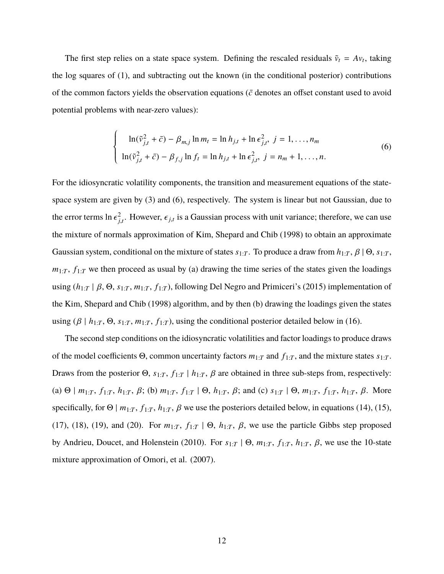The first step relies on a state space system. Defining the rescaled residuals  $\tilde{v}_t = Av_t$ , taking the log squares of (1), and subtracting out the known (in the conditional posterior) contributions of the common factors yields the observation equations ( $\bar{c}$  denotes an offset constant used to avoid potential problems with near-zero values):

$$
\begin{cases}\n\ln(\tilde{v}_{j,t}^2 + \bar{c}) - \beta_{m,j} \ln m_t = \ln h_{j,t} + \ln \epsilon_{j,t}^2, \ j = 1, \dots, n_m \\
\ln(\tilde{v}_{j,t}^2 + \bar{c}) - \beta_{f,j} \ln f_t = \ln h_{j,t} + \ln \epsilon_{j,t}^2, \ j = n_m + 1, \dots, n.\n\end{cases} \tag{6}
$$

For the idiosyncratic volatility components, the transition and measurement equations of the statespace system are given by (3) and (6), respectively. The system is linear but not Gaussian, due to the error terms  $\ln \epsilon_{j}^2$  $\frac{d}{dt}$ . However,  $\epsilon_{j,t}$  is a Gaussian process with unit variance; therefore, we can use the mixture of normals approximation of Kim, Shepard and Chib (1998) to obtain an approximate Gaussian system, conditional on the mixture of states  $s_{1:T}$ . To produce a draw from  $h_{1:T}$ ,  $\beta \mid \Theta$ ,  $s_{1:T}$ ,  $m_{1:T}$ ,  $f_{1:T}$  we then proceed as usual by (a) drawing the time series of the states given the loadings using  $(h_{1:T} | \beta, \Theta, s_{1:T}, m_{1:T}, f_{1:T})$ , following Del Negro and Primiceri's (2015) implementation of the Kim, Shepard and Chib (1998) algorithm, and by then (b) drawing the loadings given the states using ( $\beta \mid h_{1:T}$ ,  $\Theta$ ,  $s_{1:T}$ ,  $m_{1:T}$ ,  $f_{1:T}$ ), using the conditional posterior detailed below in (16).

The second step conditions on the idiosyncratic volatilities and factor loadings to produce draws of the model coefficients Θ, common uncertainty factors *m*1:*<sup>T</sup>* and *f*1:*<sup>T</sup>* , and the mixture states *s*1:*<sup>T</sup>* . Draws from the posterior  $\Theta$ ,  $s_{1:T}$ ,  $f_{1:T}$  |  $h_{1:T}$ ,  $\beta$  are obtained in three sub-steps from, respectively: (a)  $\Theta$  |  $m_{1:T}$ ,  $f_{1:T}$ ,  $h_{1:T}$ ,  $\beta$ ; (b)  $m_{1:T}$ ,  $f_{1:T}$  |  $\Theta$ ,  $h_{1:T}$ ,  $\beta$ ; and (c)  $s_{1:T}$  |  $\Theta$ ,  $m_{1:T}$ ,  $f_{1:T}$ ,  $h_{1:T}$ ,  $\beta$ . More specifically, for  $\Theta$  |  $m_{1:T}$ ,  $f_{1:T}$ ,  $h_{1:T}$ ,  $\beta$  we use the posteriors detailed below, in equations (14), (15), (17), (18), (19), and (20). For  $m_{1:T}$ ,  $f_{1:T}$  |  $\Theta$ ,  $h_{1:T}$ ,  $\beta$ , we use the particle Gibbs step proposed by Andrieu, Doucet, and Holenstein (2010). For  $s_{1:T}$  |  $\Theta$ ,  $m_{1:T}$ ,  $f_{1:T}$ ,  $h_{1:T}$ ,  $\beta$ , we use the 10-state mixture approximation of Omori, et al. (2007).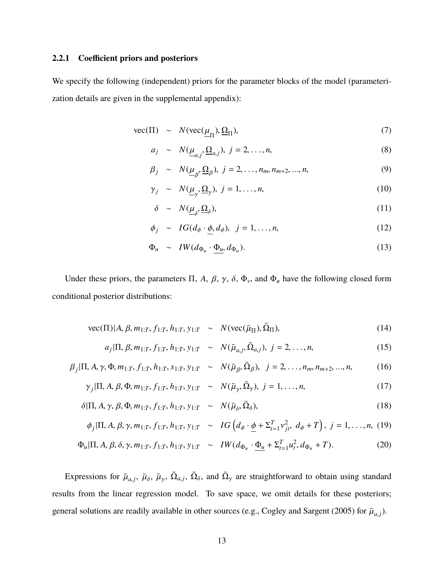#### **2.2.1 Coefficient priors and posteriors**

We specify the following (independent) priors for the parameter blocks of the model (parameterization details are given in the supplemental appendix):

$$
\text{vec}(\Pi) \sim N(\text{vec}(\underline{\mu}_{\Pi}), \underline{\Omega}_{\Pi}), \tag{7}
$$

$$
a_j \sim N(\underline{\mu}_{a,j}, \underline{\Omega}_{a,j}), \ j = 2, \dots, n,\tag{8}
$$

$$
\beta_j \sim N(\underline{\mu}_{\beta}, \underline{\Omega}_{\beta}), \ j = 2, \dots, n_m, n_{m+2}, \dots, n,
$$
\n(9)

$$
\gamma_j \sim N(\underline{\mu}_{\gamma}, \underline{\Omega}_{\gamma}), \ j = 1, \dots, n,\tag{10}
$$

$$
\delta \sim N(\underline{\mu}_{\delta}, \underline{\Omega}_{\delta}), \tag{11}
$$

$$
\phi_j \sim IG(d_{\phi} \cdot \underline{\phi}, d_{\phi}), \ j = 1, ..., n,
$$
\n(12)

$$
\Phi_u \sim I W(d_{\Phi_u} \cdot \underline{\Phi_u}, d_{\Phi_u}). \tag{13}
$$

Under these priors, the parameters  $\Pi$ , *A*,  $\beta$ ,  $\gamma$ ,  $\delta$ ,  $\Phi$ <sub>v</sub>, and  $\Phi$ <sub>*u*</sub> have the following closed form conditional posterior distributions:

vec(
$$
\Pi
$$
)| $A, \beta, m_{1:T}, f_{1:T}, h_{1:T}, y_{1:T} \sim N(\text{vec}(\bar{\mu}_{\Pi}), \bar{\Omega}_{\Pi}),$ \n(14)

$$
a_j|\Pi, \beta, m_{1:T}, f_{1:T}, h_{1:T}, y_{1:T} \sim N(\bar{\mu}_{a,j}, \bar{\Omega}_{a,j}), j = 2, ..., n,
$$
\n(15)

$$
\beta_j|\Pi, A, \gamma, \Phi, m_{1:T}, f_{1:T}, h_{1:T}, s_{1:T}, y_{1:T} \sim N(\bar{\mu}_{\beta}, \bar{\Omega}_{\beta}), \ j = 2, \dots, n_m, n_{m+2}, \dots, n,
$$
(16)

$$
\gamma_j|\Pi, A, \beta, \Phi, m_{1:T}, f_{1:T}, h_{1:T}, y_{1:T} \sim N(\bar{\mu}_{\gamma}, \bar{\Omega}_{\gamma}), j = 1, ..., n,
$$
\n(17)

$$
\delta|\Pi, A, \gamma, \beta, \Phi, m_{1:T}, f_{1:T}, h_{1:T}, y_{1:T} \sim N(\bar{\mu}_{\delta}, \bar{\Omega}_{\delta}), \qquad (18)
$$

$$
\phi_j|\Pi, A, \beta, \gamma, m_{1:T}, f_{1:T}, h_{1:T}, y_{1:T} \sim IG\left(d_{\phi} \cdot \underline{\phi} + \Sigma_{t=1}^T v_{jt}^2, d_{\phi} + T\right), j = 1, ..., n, (19)
$$

$$
\Phi_u|\Pi, A, \beta, \delta, \gamma, m_{1:T}, f_{1:T}, h_{1:T}, y_{1:T} \sim \, IW(d_{\Phi_u} \cdot \underline{\Phi_u} + \Sigma_{t=1}^T u_t^2, d_{\Phi_u} + T). \tag{20}
$$

Expressions for  $\bar{\mu}_{a,j}$ ,  $\bar{\mu}_{\delta}$ ,  $\bar{\mu}_{\gamma}$ ,  $\bar{\Omega}_{a,j}$ ,  $\bar{\Omega}_{\delta}$ , and  $\bar{\Omega}_{\gamma}$  are straightforward to obtain using standard results from the linear regression model. To save space, we omit details for these posteriors; general solutions are readily available in other sources (e.g., Cogley and Sargent (2005) for  $\bar{\mu}_{a,j}$ ).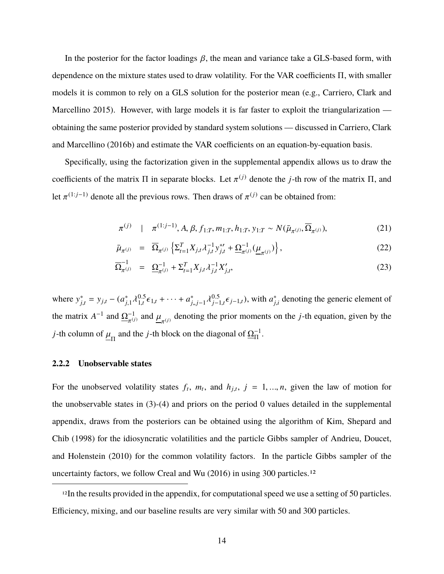In the posterior for the factor loadings  $\beta$ , the mean and variance take a GLS-based form, with dependence on the mixture states used to draw volatility. For the VAR coefficients Π, with smaller models it is common to rely on a GLS solution for the posterior mean (e.g., Carriero, Clark and Marcellino 2015). However, with large models it is far faster to exploit the triangularization obtaining the same posterior provided by standard system solutions — discussed in Carriero, Clark and Marcellino (2016b) and estimate the VAR coefficients on an equation-by-equation basis.

Specifically, using the factorization given in the supplemental appendix allows us to draw the coefficients of the matrix  $\Pi$  in separate blocks. Let  $\pi^{(j)}$  denote the *j*-th row of the matrix  $\Pi$ , and let  $\pi^{(1:j-1)}$  denote all the previous rows. Then draws of  $\pi^{(j)}$  can be obtained from:

$$
\pi^{(j)} \quad | \quad \pi^{(1:j-1)}, A, \beta, f_{1:T}, m_{1:T}, h_{1:T}, y_{1:T} \sim N(\bar{\mu}_{\pi^{(j)}}, \overline{\Omega}_{\pi^{(j)}}), \tag{21}
$$

$$
\bar{\mu}_{\pi^{(j)}} = \overline{\Omega}_{\pi^{(j)}} \left\{ \Sigma_{t=1}^T X_{j,t} \lambda_{j,t}^{-1} y_{j,t}^{*'} + \underline{\Omega}_{\pi^{(j)}}^{-1} (\underline{\mu}_{\pi^{(j)}}) \right\},\tag{22}
$$

$$
\overline{\Omega}_{\pi^{(j)}}^{-1} = \underline{\Omega}_{\pi^{(j)}}^{-1} + \Sigma_{t=1}^{T} X_{j,t} \lambda_{j,t}^{-1} X_{j,t}', \qquad (23)
$$

where  $y_i^*$  $j_{j,t}$  =  $y_{j,t}$  –  $(a_{j,t}^*)$  $\chi_{j,1}^{*} \lambda_{1,t}^{0.5}$  $^{0.5}_{1,t}$  ∈  $^{1}_{1,t}$  + · · · +  $a^*_{j}$ *<sup>j</sup>*,,*j*−<sup>1</sup> λ 0.5 <sup>0.5</sup><sub>*j*−1,*t*</sub> $\epsilon$ <sub>*j*−1,*t*</sub>), with *a*<sup>\*</sup><sub>*j*</sub>  $\hat{j}_{j,i}$  denoting the generic element of the matrix  $A^{-1}$  and  $\underline{\Omega}_{\pi^{(j)}}^{-1}$  and  $\underline{\mu}_{\pi^{(j)}}$  denoting the prior moments on the *j*-th equation, given by the π π *j*-th column of  $\underline{\mu}_{\Pi}$  and the *j*-th block on the diagonal of  $\underline{\Omega}_{\Pi}^{-1}$ .

#### **2.2.2 Unobservable states**

For the unobserved volatility states  $f_t$ ,  $m_t$ , and  $h_{j,t}$ ,  $j = 1, ..., n$ , given the law of motion for the unobservable states in (3)-(4) and priors on the period 0 values detailed in the supplemental appendix, draws from the posteriors can be obtained using the algorithm of Kim, Shepard and Chib (1998) for the idiosyncratic volatilities and the particle Gibbs sampler of Andrieu, Doucet, and Holenstein (2010) for the common volatility factors. In the particle Gibbs sampler of the uncertainty factors, we follow Creal and Wu (2016) in using 300 particles.12

<sup>12</sup>In the results provided in the appendix, for computational speed we use a setting of 50 particles. Efficiency, mixing, and our baseline results are very similar with 50 and 300 particles.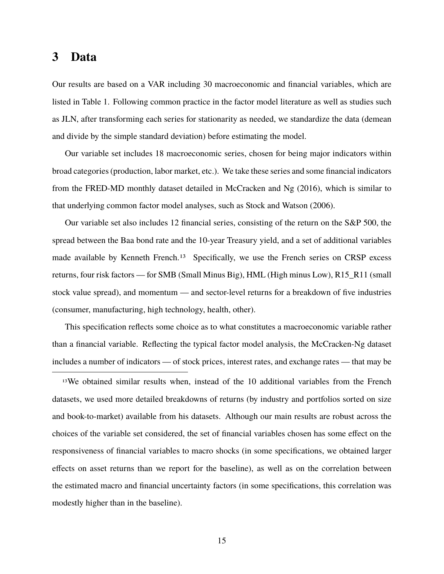## **3 Data**

Our results are based on a VAR including 30 macroeconomic and financial variables, which are listed in Table 1. Following common practice in the factor model literature as well as studies such as JLN, after transforming each series for stationarity as needed, we standardize the data (demean and divide by the simple standard deviation) before estimating the model.

Our variable set includes 18 macroeconomic series, chosen for being major indicators within broad categories (production, labor market, etc.). We take these series and some financial indicators from the FRED-MD monthly dataset detailed in McCracken and Ng (2016), which is similar to that underlying common factor model analyses, such as Stock and Watson (2006).

Our variable set also includes 12 financial series, consisting of the return on the S&P 500, the spread between the Baa bond rate and the 10-year Treasury yield, and a set of additional variables made available by Kenneth French.<sup>13</sup> Specifically, we use the French series on CRSP excess returns, four risk factors — for SMB (Small Minus Big), HML (High minus Low), R15\_R11 (small stock value spread), and momentum — and sector-level returns for a breakdown of five industries (consumer, manufacturing, high technology, health, other).

This specification reflects some choice as to what constitutes a macroeconomic variable rather than a financial variable. Reflecting the typical factor model analysis, the McCracken-Ng dataset includes a number of indicators — of stock prices, interest rates, and exchange rates — that may be

13We obtained similar results when, instead of the 10 additional variables from the French datasets, we used more detailed breakdowns of returns (by industry and portfolios sorted on size and book-to-market) available from his datasets. Although our main results are robust across the choices of the variable set considered, the set of financial variables chosen has some effect on the responsiveness of financial variables to macro shocks (in some specifications, we obtained larger effects on asset returns than we report for the baseline), as well as on the correlation between the estimated macro and financial uncertainty factors (in some specifications, this correlation was modestly higher than in the baseline).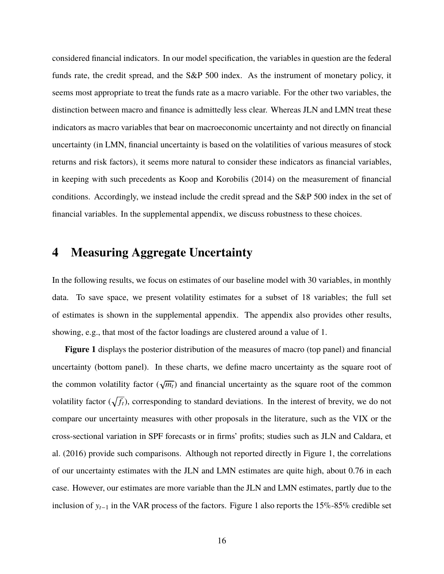considered financial indicators. In our model specification, the variables in question are the federal funds rate, the credit spread, and the S&P 500 index. As the instrument of monetary policy, it seems most appropriate to treat the funds rate as a macro variable. For the other two variables, the distinction between macro and finance is admittedly less clear. Whereas JLN and LMN treat these indicators as macro variables that bear on macroeconomic uncertainty and not directly on financial uncertainty (in LMN, financial uncertainty is based on the volatilities of various measures of stock returns and risk factors), it seems more natural to consider these indicators as financial variables, in keeping with such precedents as Koop and Korobilis (2014) on the measurement of financial conditions. Accordingly, we instead include the credit spread and the S&P 500 index in the set of financial variables. In the supplemental appendix, we discuss robustness to these choices.

# **4 Measuring Aggregate Uncertainty**

In the following results, we focus on estimates of our baseline model with 30 variables, in monthly data. To save space, we present volatility estimates for a subset of 18 variables; the full set of estimates is shown in the supplemental appendix. The appendix also provides other results, showing, e.g., that most of the factor loadings are clustered around a value of 1.

**Figure 1** displays the posterior distribution of the measures of macro (top panel) and financial uncertainty (bottom panel). In these charts, we define macro uncertainty as the square root of the common volatility factor  $(\sqrt{m_t})$  and financial uncertainty as the square root of the common volatility factor ( $\sqrt{f_t}$ ), corresponding to standard deviations. In the interest of brevity, we do not compare our uncertainty measures with other proposals in the literature, such as the VIX or the cross-sectional variation in SPF forecasts or in firms' profits; studies such as JLN and Caldara, et al. (2016) provide such comparisons. Although not reported directly in Figure 1, the correlations of our uncertainty estimates with the JLN and LMN estimates are quite high, about 0.76 in each case. However, our estimates are more variable than the JLN and LMN estimates, partly due to the inclusion of y*t*−<sup>1</sup> in the VAR process of the factors. Figure 1 also reports the 15%-85% credible set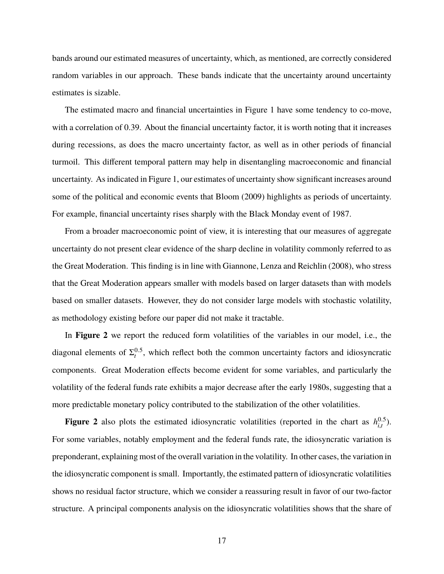bands around our estimated measures of uncertainty, which, as mentioned, are correctly considered random variables in our approach. These bands indicate that the uncertainty around uncertainty estimates is sizable.

The estimated macro and financial uncertainties in Figure 1 have some tendency to co-move, with a correlation of 0.39. About the financial uncertainty factor, it is worth noting that it increases during recessions, as does the macro uncertainty factor, as well as in other periods of financial turmoil. This different temporal pattern may help in disentangling macroeconomic and financial uncertainty. As indicated in Figure 1, our estimates of uncertainty show significant increases around some of the political and economic events that Bloom (2009) highlights as periods of uncertainty. For example, financial uncertainty rises sharply with the Black Monday event of 1987.

From a broader macroeconomic point of view, it is interesting that our measures of aggregate uncertainty do not present clear evidence of the sharp decline in volatility commonly referred to as the Great Moderation. This finding is in line with Giannone, Lenza and Reichlin (2008), who stress that the Great Moderation appears smaller with models based on larger datasets than with models based on smaller datasets. However, they do not consider large models with stochastic volatility, as methodology existing before our paper did not make it tractable.

In **Figure 2** we report the reduced form volatilities of the variables in our model, i.e., the diagonal elements of  $\Sigma_t^{0.5}$ , which reflect both the common uncertainty factors and idiosyncratic components. Great Moderation effects become evident for some variables, and particularly the volatility of the federal funds rate exhibits a major decrease after the early 1980s, suggesting that a more predictable monetary policy contributed to the stabilization of the other volatilities.

**Figure 2** also plots the estimated idiosyncratic volatilities (reported in the chart as  $h_{i,t}^{0.5}$  $_{i,t}^{(0.5)}$ . For some variables, notably employment and the federal funds rate, the idiosyncratic variation is preponderant, explaining most of the overall variation in the volatility. In other cases, the variation in the idiosyncratic component is small. Importantly, the estimated pattern of idiosyncratic volatilities shows no residual factor structure, which we consider a reassuring result in favor of our two-factor structure. A principal components analysis on the idiosyncratic volatilities shows that the share of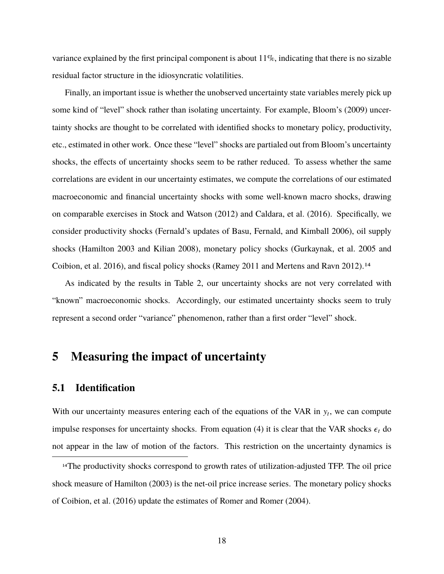variance explained by the first principal component is about  $11\%$ , indicating that there is no sizable residual factor structure in the idiosyncratic volatilities.

Finally, an important issue is whether the unobserved uncertainty state variables merely pick up some kind of "level" shock rather than isolating uncertainty. For example, Bloom's (2009) uncertainty shocks are thought to be correlated with identified shocks to monetary policy, productivity, etc., estimated in other work. Once these "level" shocks are partialed out from Bloom's uncertainty shocks, the effects of uncertainty shocks seem to be rather reduced. To assess whether the same correlations are evident in our uncertainty estimates, we compute the correlations of our estimated macroeconomic and financial uncertainty shocks with some well-known macro shocks, drawing on comparable exercises in Stock and Watson (2012) and Caldara, et al. (2016). Specifically, we consider productivity shocks (Fernald's updates of Basu, Fernald, and Kimball 2006), oil supply shocks (Hamilton 2003 and Kilian 2008), monetary policy shocks (Gurkaynak, et al. 2005 and Coibion, et al. 2016), and fiscal policy shocks (Ramey 2011 and Mertens and Ravn 2012).14

As indicated by the results in Table 2, our uncertainty shocks are not very correlated with "known" macroeconomic shocks. Accordingly, our estimated uncertainty shocks seem to truly represent a second order "variance" phenomenon, rather than a first order "level" shock.

# **5 Measuring the impact of uncertainty**

## **5.1 Identification**

With our uncertainty measures entering each of the equations of the VAR in  $y_t$ , we can compute impulse responses for uncertainty shocks. From equation (4) it is clear that the VAR shocks  $\epsilon_t$  do not appear in the law of motion of the factors. This restriction on the uncertainty dynamics is

<sup>&</sup>lt;sup>14</sup>The productivity shocks correspond to growth rates of utilization-adjusted TFP. The oil price shock measure of Hamilton (2003) is the net-oil price increase series. The monetary policy shocks of Coibion, et al. (2016) update the estimates of Romer and Romer (2004).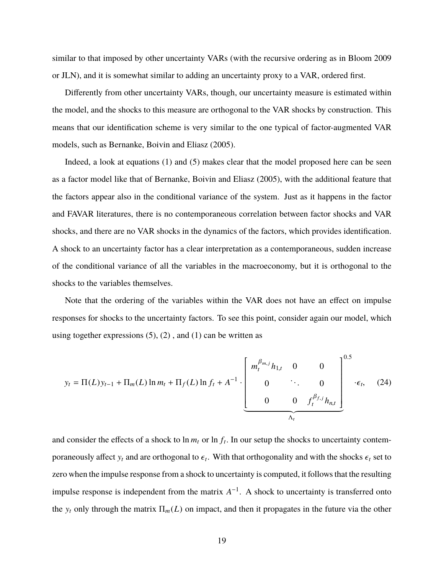similar to that imposed by other uncertainty VARs (with the recursive ordering as in Bloom 2009 or JLN), and it is somewhat similar to adding an uncertainty proxy to a VAR, ordered first.

Differently from other uncertainty VARs, though, our uncertainty measure is estimated within the model, and the shocks to this measure are orthogonal to the VAR shocks by construction. This means that our identification scheme is very similar to the one typical of factor-augmented VAR models, such as Bernanke, Boivin and Eliasz (2005).

Indeed, a look at equations (1) and (5) makes clear that the model proposed here can be seen as a factor model like that of Bernanke, Boivin and Eliasz (2005), with the additional feature that the factors appear also in the conditional variance of the system. Just as it happens in the factor and FAVAR literatures, there is no contemporaneous correlation between factor shocks and VAR shocks, and there are no VAR shocks in the dynamics of the factors, which provides identification. A shock to an uncertainty factor has a clear interpretation as a contemporaneous, sudden increase of the conditional variance of all the variables in the macroeconomy, but it is orthogonal to the shocks to the variables themselves.

Note that the ordering of the variables within the VAR does not have an effect on impulse responses for shocks to the uncertainty factors. To see this point, consider again our model, which using together expressions  $(5)$ ,  $(2)$ , and  $(1)$  can be written as

$$
y_{t} = \Pi(L)y_{t-1} + \Pi_{m}(L)\ln m_{t} + \Pi_{f}(L)\ln f_{t} + A^{-1} \cdot \left[\begin{array}{cccc} m_{t}^{\beta_{m,j}}h_{1,t} & 0 & 0 \\ 0 & \ddots & 0 \\ 0 & 0 & f_{t}^{\beta_{f,j}}h_{n,t} \end{array}\right]^{0.5} \cdot \epsilon_{t}, \quad (24)
$$

and consider the effects of a shock to  $\ln m_t$  or  $\ln f_t$ . In our setup the shocks to uncertainty contemporaneously affect  $y_t$  and are orthogonal to  $\epsilon_t$ . With that orthogonality and with the shocks  $\epsilon_t$  set to zero when the impulse response from a shock to uncertainty is computed, it follows that the resulting impulse response is independent from the matrix  $A^{-1}$ . A shock to uncertainty is transferred onto the  $y_t$  only through the matrix  $\Pi_m(L)$  on impact, and then it propagates in the future via the other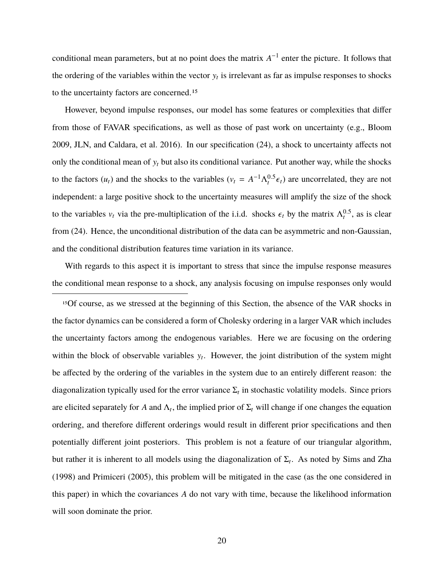conditional mean parameters, but at no point does the matrix  $A^{-1}$  enter the picture. It follows that the ordering of the variables within the vector  $y_t$  is irrelevant as far as impulse responses to shocks to the uncertainty factors are concerned.15

However, beyond impulse responses, our model has some features or complexities that differ from those of FAVAR specifications, as well as those of past work on uncertainty (e.g., Bloom 2009, JLN, and Caldara, et al. 2016). In our specification (24), a shock to uncertainty affects not only the conditional mean of  $y_t$  but also its conditional variance. Put another way, while the shocks to the factors  $(u_t)$  and the shocks to the variables  $(v_t = A^{-1} \Lambda_t^{0.5} \epsilon_t)$  are uncorrelated, they are not independent: a large positive shock to the uncertainty measures will amplify the size of the shock to the variables  $v_t$  via the pre-multiplication of the i.i.d. shocks  $\epsilon_t$  by the matrix  $\Lambda_t^{0.5}$ , as is clear from (24). Hence, the unconditional distribution of the data can be asymmetric and non-Gaussian, and the conditional distribution features time variation in its variance.

With regards to this aspect it is important to stress that since the impulse response measures the conditional mean response to a shock, any analysis focusing on impulse responses only would

15Of course, as we stressed at the beginning of this Section, the absence of the VAR shocks in the factor dynamics can be considered a form of Cholesky ordering in a larger VAR which includes the uncertainty factors among the endogenous variables. Here we are focusing on the ordering within the block of observable variables  $y_t$ . However, the joint distribution of the system might be affected by the ordering of the variables in the system due to an entirely different reason: the diagonalization typically used for the error variance  $\Sigma_t$  in stochastic volatility models. Since priors are elicited separately for *A* and  $\Lambda_t$ , the implied prior of  $\Sigma_t$  will change if one changes the equation ordering, and therefore different orderings would result in different prior specifications and then potentially different joint posteriors. This problem is not a feature of our triangular algorithm, but rather it is inherent to all models using the diagonalization of  $\Sigma_t$ . As noted by Sims and Zha (1998) and Primiceri (2005), this problem will be mitigated in the case (as the one considered in this paper) in which the covariances *A* do not vary with time, because the likelihood information will soon dominate the prior.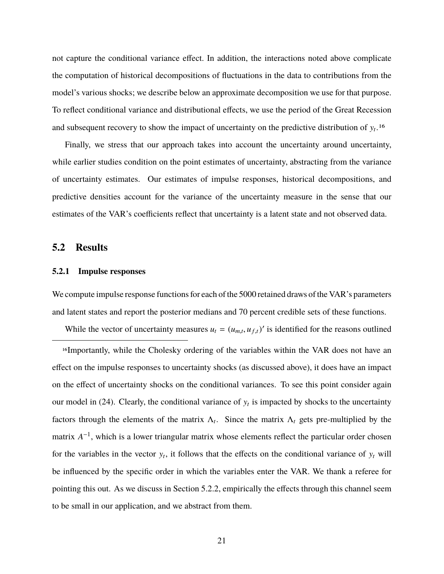not capture the conditional variance effect. In addition, the interactions noted above complicate the computation of historical decompositions of fluctuations in the data to contributions from the model's various shocks; we describe below an approximate decomposition we use for that purpose. To reflect conditional variance and distributional effects, we use the period of the Great Recession and subsequent recovery to show the impact of uncertainty on the predictive distribution of y*<sup>t</sup>* .16

Finally, we stress that our approach takes into account the uncertainty around uncertainty, while earlier studies condition on the point estimates of uncertainty, abstracting from the variance of uncertainty estimates. Our estimates of impulse responses, historical decompositions, and predictive densities account for the variance of the uncertainty measure in the sense that our estimates of the VAR's coefficients reflect that uncertainty is a latent state and not observed data.

### **5.2 Results**

#### **5.2.1 Impulse responses**

We compute impulse response functions for each of the 5000 retained draws of the VAR's parameters and latent states and report the posterior medians and 70 percent credible sets of these functions.

While the vector of uncertainty measures  $u_t = (u_{m,t}, u_{f,t})'$  is identified for the reasons outlined

16Importantly, while the Cholesky ordering of the variables within the VAR does not have an effect on the impulse responses to uncertainty shocks (as discussed above), it does have an impact on the effect of uncertainty shocks on the conditional variances. To see this point consider again our model in  $(24)$ . Clearly, the conditional variance of  $y_t$  is impacted by shocks to the uncertainty factors through the elements of the matrix  $\Lambda_t$ . Since the matrix  $\Lambda_t$  gets pre-multiplied by the matrix *A*<sup>-1</sup>, which is a lower triangular matrix whose elements reflect the particular order chosen for the variables in the vector  $y_t$ , it follows that the effects on the conditional variance of  $y_t$  will be influenced by the specific order in which the variables enter the VAR. We thank a referee for pointing this out. As we discuss in Section 5.2.2, empirically the effects through this channel seem to be small in our application, and we abstract from them.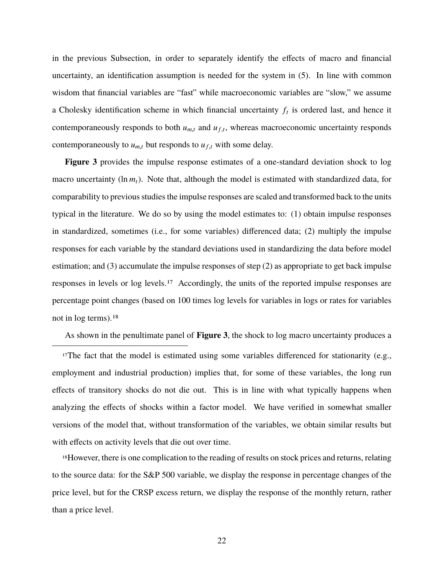in the previous Subsection, in order to separately identify the effects of macro and financial uncertainty, an identification assumption is needed for the system in (5). In line with common wisdom that financial variables are "fast" while macroeconomic variables are "slow," we assume a Cholesky identification scheme in which financial uncertainty *f<sup>t</sup>* is ordered last, and hence it contemporaneously responds to both  $u_{m,t}$  and  $u_{f,t}$ , whereas macroeconomic uncertainty responds contemporaneously to  $u_{m,t}$  but responds to  $u_{f,t}$  with some delay.

**Figure 3** provides the impulse response estimates of a one-standard deviation shock to log macro uncertainty  $(\ln m_t)$ . Note that, although the model is estimated with standardized data, for comparability to previous studies the impulse responses are scaled and transformed back to the units typical in the literature. We do so by using the model estimates to: (1) obtain impulse responses in standardized, sometimes (i.e., for some variables) differenced data; (2) multiply the impulse responses for each variable by the standard deviations used in standardizing the data before model estimation; and (3) accumulate the impulse responses of step (2) as appropriate to get back impulse responses in levels or log levels.17 Accordingly, the units of the reported impulse responses are percentage point changes (based on 100 times log levels for variables in logs or rates for variables not in log terms).18

As shown in the penultimate panel of **Figure 3**, the shock to log macro uncertainty produces a

<sup>17</sup>The fact that the model is estimated using some variables differenced for stationarity (e.g., employment and industrial production) implies that, for some of these variables, the long run effects of transitory shocks do not die out. This is in line with what typically happens when analyzing the effects of shocks within a factor model. We have verified in somewhat smaller versions of the model that, without transformation of the variables, we obtain similar results but with effects on activity levels that die out over time.

18However, there is one complication to the reading of results on stock prices and returns, relating to the source data: for the S&P 500 variable, we display the response in percentage changes of the price level, but for the CRSP excess return, we display the response of the monthly return, rather than a price level.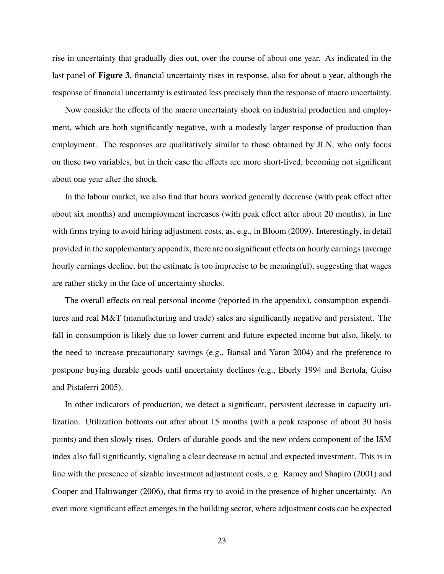rise in uncertainty that gradually dies out, over the course of about one year. As indicated in the last panel of **Figure 3**, financial uncertainty rises in response, also for about a year, although the response of financial uncertainty is estimated less precisely than the response of macro uncertainty.

Now consider the effects of the macro uncertainty shock on industrial production and employment, which are both significantly negative, with a modestly larger response of production than employment. The responses are qualitatively similar to those obtained by JLN, who only focus on these two variables, but in their case the effects are more short-lived, becoming not significant about one year after the shock.

In the labour market, we also find that hours worked generally decrease (with peak effect after about six months) and unemployment increases (with peak effect after about 20 months), in line with firms trying to avoid hiring adjustment costs, as, e.g., in Bloom (2009). Interestingly, in detail provided in the supplementary appendix, there are no significant effects on hourly earnings (average hourly earnings decline, but the estimate is too imprecise to be meaningful), suggesting that wages are rather sticky in the face of uncertainty shocks.

The overall effects on real personal income (reported in the appendix), consumption expenditures and real M&T (manufacturing and trade) sales are significantly negative and persistent. The fall in consumption is likely due to lower current and future expected income but also, likely, to the need to increase precautionary savings (e.g., Bansal and Yaron 2004) and the preference to postpone buying durable goods until uncertainty declines (e.g., Eberly 1994 and Bertola, Guiso and Pistaferri 2005).

In other indicators of production, we detect a significant, persistent decrease in capacity utilization. Utilization bottoms out after about 15 months (with a peak response of about 30 basis points) and then slowly rises. Orders of durable goods and the new orders component of the ISM index also fall significantly, signaling a clear decrease in actual and expected investment. This is in line with the presence of sizable investment adjustment costs, e.g. Ramey and Shapiro (2001) and Cooper and Haltiwanger (2006), that firms try to avoid in the presence of higher uncertainty. An even more significant effect emerges in the building sector, where adjustment costs can be expected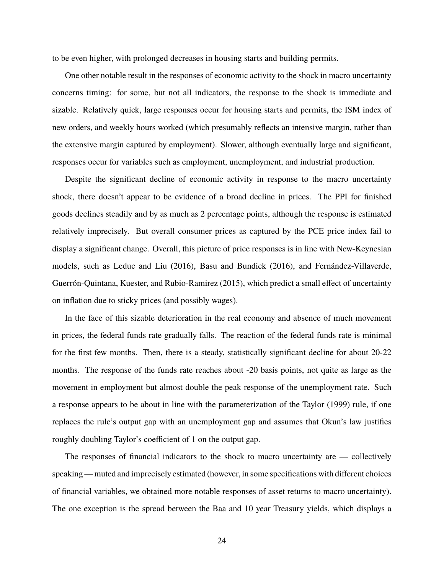to be even higher, with prolonged decreases in housing starts and building permits.

One other notable result in the responses of economic activity to the shock in macro uncertainty concerns timing: for some, but not all indicators, the response to the shock is immediate and sizable. Relatively quick, large responses occur for housing starts and permits, the ISM index of new orders, and weekly hours worked (which presumably reflects an intensive margin, rather than the extensive margin captured by employment). Slower, although eventually large and significant, responses occur for variables such as employment, unemployment, and industrial production.

Despite the significant decline of economic activity in response to the macro uncertainty shock, there doesn't appear to be evidence of a broad decline in prices. The PPI for finished goods declines steadily and by as much as 2 percentage points, although the response is estimated relatively imprecisely. But overall consumer prices as captured by the PCE price index fail to display a significant change. Overall, this picture of price responses is in line with New-Keynesian models, such as Leduc and Liu (2016), Basu and Bundick (2016), and Fernández-Villaverde, Guerrón-Quintana, Kuester, and Rubio-Ramirez (2015), which predict a small effect of uncertainty on inflation due to sticky prices (and possibly wages).

In the face of this sizable deterioration in the real economy and absence of much movement in prices, the federal funds rate gradually falls. The reaction of the federal funds rate is minimal for the first few months. Then, there is a steady, statistically significant decline for about 20-22 months. The response of the funds rate reaches about -20 basis points, not quite as large as the movement in employment but almost double the peak response of the unemployment rate. Such a response appears to be about in line with the parameterization of the Taylor (1999) rule, if one replaces the rule's output gap with an unemployment gap and assumes that Okun's law justifies roughly doubling Taylor's coefficient of 1 on the output gap.

The responses of financial indicators to the shock to macro uncertainty are — collectively speaking— muted and imprecisely estimated (however, in some specifications with different choices of financial variables, we obtained more notable responses of asset returns to macro uncertainty). The one exception is the spread between the Baa and 10 year Treasury yields, which displays a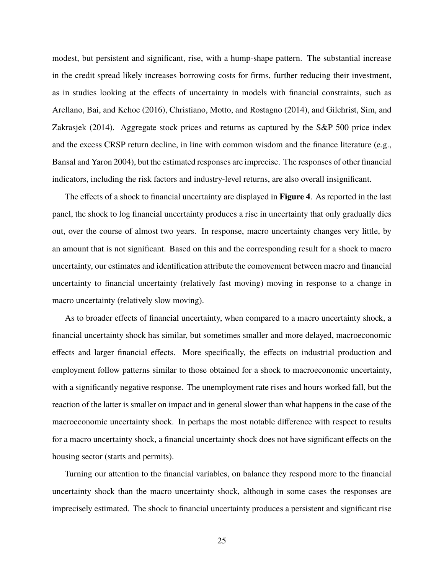modest, but persistent and significant, rise, with a hump-shape pattern. The substantial increase in the credit spread likely increases borrowing costs for firms, further reducing their investment, as in studies looking at the effects of uncertainty in models with financial constraints, such as Arellano, Bai, and Kehoe (2016), Christiano, Motto, and Rostagno (2014), and Gilchrist, Sim, and Zakrasjek (2014). Aggregate stock prices and returns as captured by the S&P 500 price index and the excess CRSP return decline, in line with common wisdom and the finance literature (e.g., Bansal and Yaron 2004), but the estimated responses are imprecise. The responses of other financial indicators, including the risk factors and industry-level returns, are also overall insignificant.

The effects of a shock to financial uncertainty are displayed in **Figure 4**. As reported in the last panel, the shock to log financial uncertainty produces a rise in uncertainty that only gradually dies out, over the course of almost two years. In response, macro uncertainty changes very little, by an amount that is not significant. Based on this and the corresponding result for a shock to macro uncertainty, our estimates and identification attribute the comovement between macro and financial uncertainty to financial uncertainty (relatively fast moving) moving in response to a change in macro uncertainty (relatively slow moving).

As to broader effects of financial uncertainty, when compared to a macro uncertainty shock, a financial uncertainty shock has similar, but sometimes smaller and more delayed, macroeconomic effects and larger financial effects. More specifically, the effects on industrial production and employment follow patterns similar to those obtained for a shock to macroeconomic uncertainty, with a significantly negative response. The unemployment rate rises and hours worked fall, but the reaction of the latter is smaller on impact and in general slower than what happens in the case of the macroeconomic uncertainty shock. In perhaps the most notable difference with respect to results for a macro uncertainty shock, a financial uncertainty shock does not have significant effects on the housing sector (starts and permits).

Turning our attention to the financial variables, on balance they respond more to the financial uncertainty shock than the macro uncertainty shock, although in some cases the responses are imprecisely estimated. The shock to financial uncertainty produces a persistent and significant rise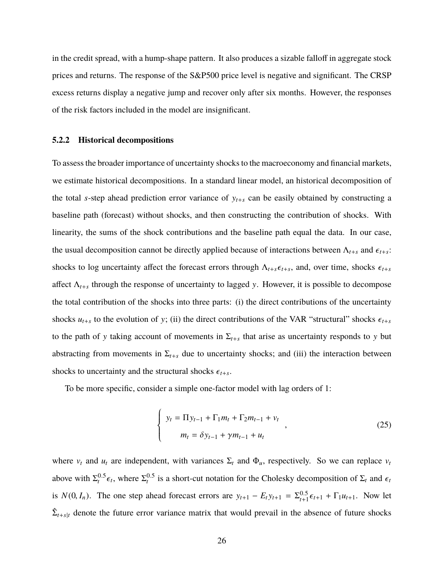in the credit spread, with a hump-shape pattern. It also produces a sizable falloff in aggregate stock prices and returns. The response of the S&P500 price level is negative and significant. The CRSP excess returns display a negative jump and recover only after six months. However, the responses of the risk factors included in the model are insignificant.

#### **5.2.2 Historical decompositions**

To assess the broader importance of uncertainty shocks to the macroeconomy and financial markets, we estimate historical decompositions. In a standard linear model, an historical decomposition of the total *s*-step ahead prediction error variance of  $y_{t+s}$  can be easily obtained by constructing a baseline path (forecast) without shocks, and then constructing the contribution of shocks. With linearity, the sums of the shock contributions and the baseline path equal the data. In our case, the usual decomposition cannot be directly applied because of interactions between  $\Lambda_{t+s}$  and  $\epsilon_{t+s}$ : shocks to log uncertainty affect the forecast errors through  $\Lambda_{t+s}\epsilon_{t+s}$ , and, over time, shocks  $\epsilon_{t+s}$ affect Λ*t*+*<sup>s</sup>* through the response of uncertainty to lagged y. However, it is possible to decompose the total contribution of the shocks into three parts: (i) the direct contributions of the uncertainty shocks  $u_{t+s}$  to the evolution of y; (ii) the direct contributions of the VAR "structural" shocks  $\epsilon_{t+s}$ to the path of y taking account of movements in  $\Sigma_{t+s}$  that arise as uncertainty responds to y but abstracting from movements in  $\Sigma_{t+s}$  due to uncertainty shocks; and (iii) the interaction between shocks to uncertainty and the structural shocks  $\epsilon_{t+s}$ .

To be more specific, consider a simple one-factor model with lag orders of 1:

$$
\begin{cases}\ny_t = \Pi y_{t-1} + \Gamma_1 m_t + \Gamma_2 m_{t-1} + v_t \\
m_t = \delta y_{t-1} + \gamma m_{t-1} + u_t\n\end{cases},
$$
\n(25)

where  $v_t$  and  $u_t$  are independent, with variances  $\Sigma_t$  and  $\Phi_u$ , respectively. So we can replace  $v_t$ above with  $\Sigma_t^{0.5} \epsilon_t$ , where  $\Sigma_t^{0.5}$  is a short-cut notation for the Cholesky decomposition of  $\Sigma_t$  and  $\epsilon_t$ is  $N(0, I_n)$ . The one step ahead forecast errors are  $y_{t+1} - E_t y_{t+1} = \sum_{t+1}^{0.5} \epsilon_{t+1} + \Gamma_1 u_{t+1}$ . Now let  $\hat{\Sigma}_{t+s|t}$  denote the future error variance matrix that would prevail in the absence of future shocks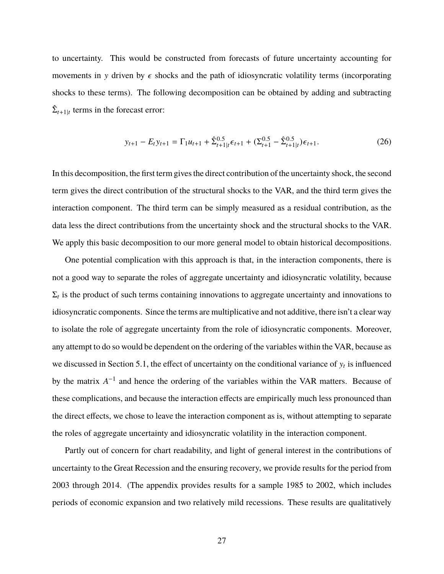to uncertainty. This would be constructed from forecasts of future uncertainty accounting for movements in y driven by  $\epsilon$  shocks and the path of idiosyncratic volatility terms (incorporating shocks to these terms). The following decomposition can be obtained by adding and subtracting  $\hat{\Sigma}_{t+1|t}$  terms in the forecast error:

$$
y_{t+1} - E_t y_{t+1} = \Gamma_1 u_{t+1} + \hat{\Sigma}_{t+1|t}^{0.5} \epsilon_{t+1} + (\Sigma_{t+1}^{0.5} - \hat{\Sigma}_{t+1|t}^{0.5}) \epsilon_{t+1}.
$$
 (26)

In this decomposition, the first term gives the direct contribution of the uncertainty shock, the second term gives the direct contribution of the structural shocks to the VAR, and the third term gives the interaction component. The third term can be simply measured as a residual contribution, as the data less the direct contributions from the uncertainty shock and the structural shocks to the VAR. We apply this basic decomposition to our more general model to obtain historical decompositions.

One potential complication with this approach is that, in the interaction components, there is not a good way to separate the roles of aggregate uncertainty and idiosyncratic volatility, because  $\Sigma_t$  is the product of such terms containing innovations to aggregate uncertainty and innovations to idiosyncratic components. Since the terms are multiplicative and not additive, there isn't a clear way to isolate the role of aggregate uncertainty from the role of idiosyncratic components. Moreover, any attempt to do so would be dependent on the ordering of the variables within the VAR, because as we discussed in Section 5.1, the effect of uncertainty on the conditional variance of  $y_t$  is influenced by the matrix  $A^{-1}$  and hence the ordering of the variables within the VAR matters. Because of these complications, and because the interaction effects are empirically much less pronounced than the direct effects, we chose to leave the interaction component as is, without attempting to separate the roles of aggregate uncertainty and idiosyncratic volatility in the interaction component.

Partly out of concern for chart readability, and light of general interest in the contributions of uncertainty to the Great Recession and the ensuring recovery, we provide results for the period from 2003 through 2014. (The appendix provides results for a sample 1985 to 2002, which includes periods of economic expansion and two relatively mild recessions. These results are qualitatively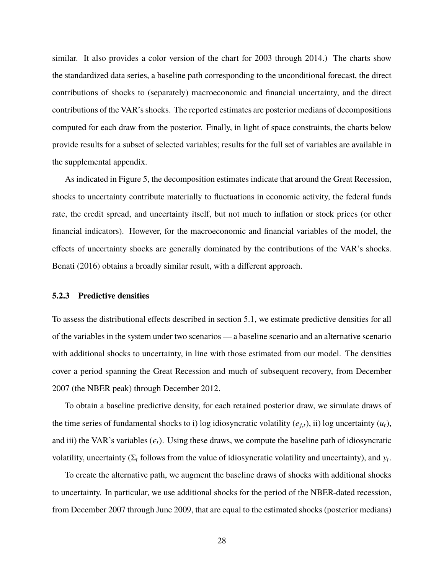similar. It also provides a color version of the chart for 2003 through 2014.) The charts show the standardized data series, a baseline path corresponding to the unconditional forecast, the direct contributions of shocks to (separately) macroeconomic and financial uncertainty, and the direct contributions of the VAR's shocks. The reported estimates are posterior medians of decompositions computed for each draw from the posterior. Finally, in light of space constraints, the charts below provide results for a subset of selected variables; results for the full set of variables are available in the supplemental appendix.

As indicated in Figure 5, the decomposition estimates indicate that around the Great Recession, shocks to uncertainty contribute materially to fluctuations in economic activity, the federal funds rate, the credit spread, and uncertainty itself, but not much to inflation or stock prices (or other financial indicators). However, for the macroeconomic and financial variables of the model, the effects of uncertainty shocks are generally dominated by the contributions of the VAR's shocks. Benati (2016) obtains a broadly similar result, with a different approach.

#### **5.2.3 Predictive densities**

To assess the distributional effects described in section 5.1, we estimate predictive densities for all of the variables in the system under two scenarios — a baseline scenario and an alternative scenario with additional shocks to uncertainty, in line with those estimated from our model. The densities cover a period spanning the Great Recession and much of subsequent recovery, from December 2007 (the NBER peak) through December 2012.

To obtain a baseline predictive density, for each retained posterior draw, we simulate draws of the time series of fundamental shocks to i) log idiosyncratic volatility  $(e_{i,t})$ , ii) log uncertainty  $(u_t)$ , and iii) the VAR's variables  $(\epsilon_t)$ . Using these draws, we compute the baseline path of idiosyncratic volatility, uncertainty  $(\Sigma_t$  follows from the value of idiosyncratic volatility and uncertainty), and  $y_t$ .

To create the alternative path, we augment the baseline draws of shocks with additional shocks to uncertainty. In particular, we use additional shocks for the period of the NBER-dated recession, from December 2007 through June 2009, that are equal to the estimated shocks (posterior medians)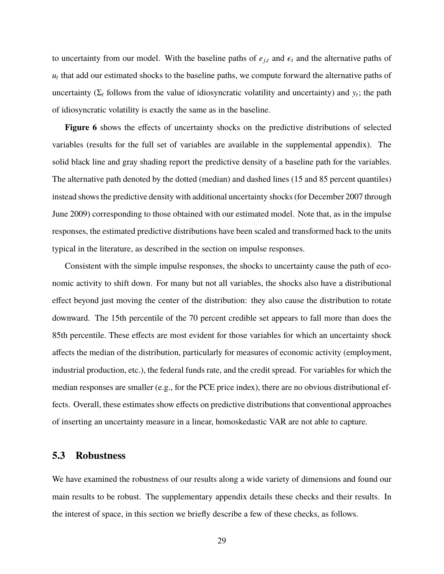to uncertainty from our model. With the baseline paths of  $e_{i,t}$  and  $\epsilon_t$  and the alternative paths of *ut* that add our estimated shocks to the baseline paths, we compute forward the alternative paths of uncertainty  $(\Sigma_t$  follows from the value of idiosyncratic volatility and uncertainty) and  $y_t$ ; the path of idiosyncratic volatility is exactly the same as in the baseline.

Figure 6 shows the effects of uncertainty shocks on the predictive distributions of selected variables (results for the full set of variables are available in the supplemental appendix). The solid black line and gray shading report the predictive density of a baseline path for the variables. The alternative path denoted by the dotted (median) and dashed lines (15 and 85 percent quantiles) instead shows the predictive density with additional uncertainty shocks (for December 2007 through June 2009) corresponding to those obtained with our estimated model. Note that, as in the impulse responses, the estimated predictive distributions have been scaled and transformed back to the units typical in the literature, as described in the section on impulse responses.

Consistent with the simple impulse responses, the shocks to uncertainty cause the path of economic activity to shift down. For many but not all variables, the shocks also have a distributional effect beyond just moving the center of the distribution: they also cause the distribution to rotate downward. The 15th percentile of the 70 percent credible set appears to fall more than does the 85th percentile. These effects are most evident for those variables for which an uncertainty shock affects the median of the distribution, particularly for measures of economic activity (employment, industrial production, etc.), the federal funds rate, and the credit spread. For variables for which the median responses are smaller (e.g., for the PCE price index), there are no obvious distributional effects. Overall, these estimates show effects on predictive distributions that conventional approaches of inserting an uncertainty measure in a linear, homoskedastic VAR are not able to capture.

### **5.3 Robustness**

We have examined the robustness of our results along a wide variety of dimensions and found our main results to be robust. The supplementary appendix details these checks and their results. In the interest of space, in this section we briefly describe a few of these checks, as follows.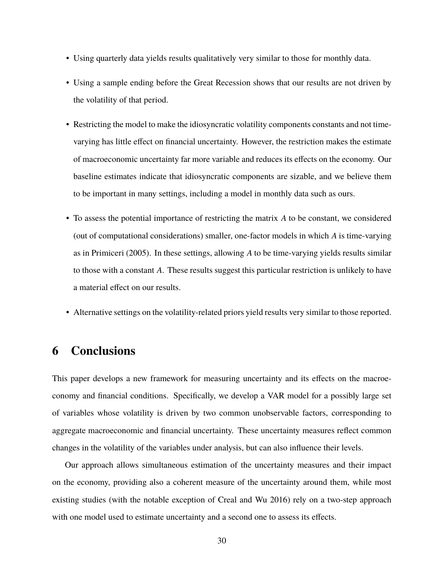- Using quarterly data yields results qualitatively very similar to those for monthly data.
- Using a sample ending before the Great Recession shows that our results are not driven by the volatility of that period.
- Restricting the model to make the idiosyncratic volatility components constants and not timevarying has little effect on financial uncertainty. However, the restriction makes the estimate of macroeconomic uncertainty far more variable and reduces its effects on the economy. Our baseline estimates indicate that idiosyncratic components are sizable, and we believe them to be important in many settings, including a model in monthly data such as ours.
- To assess the potential importance of restricting the matrix *A* to be constant, we considered (out of computational considerations) smaller, one-factor models in which *A* is time-varying as in Primiceri (2005). In these settings, allowing *A* to be time-varying yields results similar to those with a constant *A*. These results suggest this particular restriction is unlikely to have a material effect on our results.
- Alternative settings on the volatility-related priors yield results very similar to those reported.

# **6 Conclusions**

This paper develops a new framework for measuring uncertainty and its effects on the macroeconomy and financial conditions. Specifically, we develop a VAR model for a possibly large set of variables whose volatility is driven by two common unobservable factors, corresponding to aggregate macroeconomic and financial uncertainty. These uncertainty measures reflect common changes in the volatility of the variables under analysis, but can also influence their levels.

Our approach allows simultaneous estimation of the uncertainty measures and their impact on the economy, providing also a coherent measure of the uncertainty around them, while most existing studies (with the notable exception of Creal and Wu 2016) rely on a two-step approach with one model used to estimate uncertainty and a second one to assess its effects.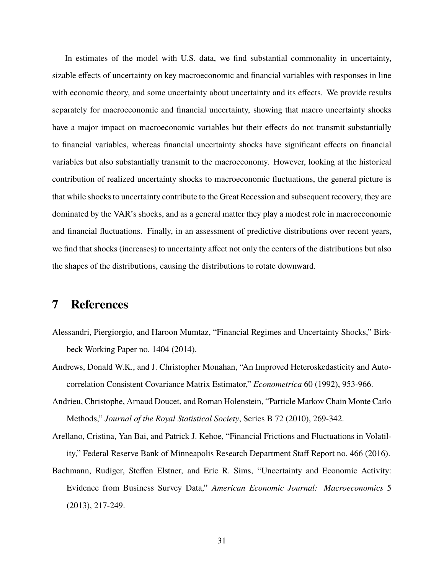In estimates of the model with U.S. data, we find substantial commonality in uncertainty, sizable effects of uncertainty on key macroeconomic and financial variables with responses in line with economic theory, and some uncertainty about uncertainty and its effects. We provide results separately for macroeconomic and financial uncertainty, showing that macro uncertainty shocks have a major impact on macroeconomic variables but their effects do not transmit substantially to financial variables, whereas financial uncertainty shocks have significant effects on financial variables but also substantially transmit to the macroeconomy. However, looking at the historical contribution of realized uncertainty shocks to macroeconomic fluctuations, the general picture is that while shocks to uncertainty contribute to the Great Recession and subsequent recovery, they are dominated by the VAR's shocks, and as a general matter they play a modest role in macroeconomic and financial fluctuations. Finally, in an assessment of predictive distributions over recent years, we find that shocks (increases) to uncertainty affect not only the centers of the distributions but also the shapes of the distributions, causing the distributions to rotate downward.

# **7 References**

- Alessandri, Piergiorgio, and Haroon Mumtaz, "Financial Regimes and Uncertainty Shocks," Birkbeck Working Paper no. 1404 (2014).
- Andrews, Donald W.K., and J. Christopher Monahan, "An Improved Heteroskedasticity and Autocorrelation Consistent Covariance Matrix Estimator," *Econometrica* 60 (1992), 953-966.
- Andrieu, Christophe, Arnaud Doucet, and Roman Holenstein, "Particle Markov Chain Monte Carlo Methods," *Journal of the Royal Statistical Society*, Series B 72 (2010), 269-342.
- Arellano, Cristina, Yan Bai, and Patrick J. Kehoe, "Financial Frictions and Fluctuations in Volatility," Federal Reserve Bank of Minneapolis Research Department Staff Report no. 466 (2016).
- Bachmann, Rudiger, Steffen Elstner, and Eric R. Sims, "Uncertainty and Economic Activity: Evidence from Business Survey Data," *American Economic Journal: Macroeconomics* 5 (2013), 217-249.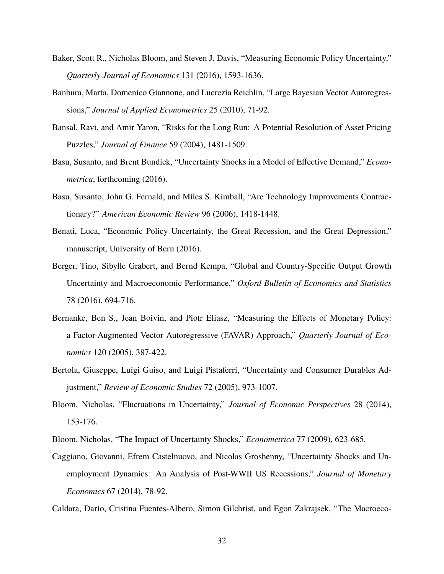- Baker, Scott R., Nicholas Bloom, and Steven J. Davis, "Measuring Economic Policy Uncertainty," *Quarterly Journal of Economics* 131 (2016), 1593-1636.
- Banbura, Marta, Domenico Giannone, and Lucrezia Reichlin, "Large Bayesian Vector Autoregressions," *Journal of Applied Econometrics* 25 (2010), 71-92.
- Bansal, Ravi, and Amir Yaron, "Risks for the Long Run: A Potential Resolution of Asset Pricing Puzzles," *Journal of Finance* 59 (2004), 1481-1509.
- Basu, Susanto, and Brent Bundick, "Uncertainty Shocks in a Model of Effective Demand," *Econometrica*, forthcoming (2016).
- Basu, Susanto, John G. Fernald, and Miles S. Kimball, "Are Technology Improvements Contractionary?" *American Economic Review* 96 (2006), 1418-1448.
- Benati, Luca, "Economic Policy Uncertainty, the Great Recession, and the Great Depression," manuscript, University of Bern (2016).
- Berger, Tino, Sibylle Grabert, and Bernd Kempa, "Global and Country-Specific Output Growth Uncertainty and Macroeconomic Performance," *Oxford Bulletin of Economics and Statistics* 78 (2016), 694-716.
- Bernanke, Ben S., Jean Boivin, and Piotr Eliasz, "Measuring the Effects of Monetary Policy: a Factor-Augmented Vector Autoregressive (FAVAR) Approach," *Quarterly Journal of Economics* 120 (2005), 387-422.
- Bertola, Giuseppe, Luigi Guiso, and Luigi Pistaferri, "Uncertainty and Consumer Durables Adjustment," *Review of Economic Studies* 72 (2005), 973-1007.
- Bloom, Nicholas, "Fluctuations in Uncertainty," *Journal of Economic Perspectives* 28 (2014), 153-176.
- Bloom, Nicholas, "The Impact of Uncertainty Shocks," *Econometrica* 77 (2009), 623-685.
- Caggiano, Giovanni, Efrem Castelnuovo, and Nicolas Groshenny, "Uncertainty Shocks and Unemployment Dynamics: An Analysis of Post-WWII US Recessions," *Journal of Monetary Economics* 67 (2014), 78-92.
- Caldara, Dario, Cristina Fuentes-Albero, Simon Gilchrist, and Egon Zakrajsek, "The Macroeco-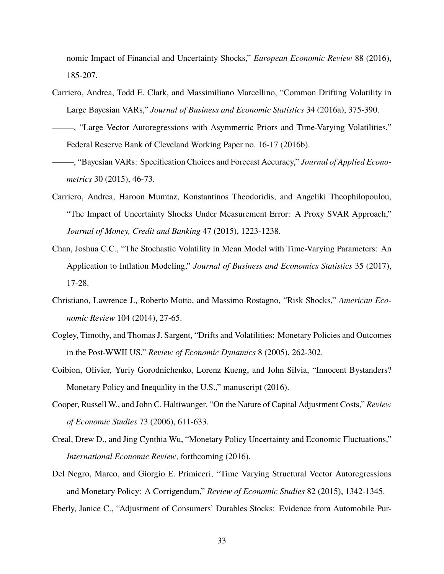nomic Impact of Financial and Uncertainty Shocks," *European Economic Review* 88 (2016), 185-207.

- Carriero, Andrea, Todd E. Clark, and Massimiliano Marcellino, "Common Drifting Volatility in Large Bayesian VARs," *Journal of Business and Economic Statistics* 34 (2016a), 375-390.
- ——–, "Large Vector Autoregressions with Asymmetric Priors and Time-Varying Volatilities," Federal Reserve Bank of Cleveland Working Paper no. 16-17 (2016b).
- ——–, "Bayesian VARs: Specification Choices and Forecast Accuracy," *Journal of Applied Econometrics* 30 (2015), 46-73.
- Carriero, Andrea, Haroon Mumtaz, Konstantinos Theodoridis, and Angeliki Theophilopoulou, "The Impact of Uncertainty Shocks Under Measurement Error: A Proxy SVAR Approach," *Journal of Money, Credit and Banking* 47 (2015), 1223-1238.
- Chan, Joshua C.C., "The Stochastic Volatility in Mean Model with Time-Varying Parameters: An Application to Inflation Modeling," *Journal of Business and Economics Statistics* 35 (2017), 17-28.
- Christiano, Lawrence J., Roberto Motto, and Massimo Rostagno, "Risk Shocks," *American Economic Review* 104 (2014), 27-65.
- Cogley, Timothy, and Thomas J. Sargent, "Drifts and Volatilities: Monetary Policies and Outcomes in the Post-WWII US," *Review of Economic Dynamics* 8 (2005), 262-302.
- Coibion, Olivier, Yuriy Gorodnichenko, Lorenz Kueng, and John Silvia, "Innocent Bystanders? Monetary Policy and Inequality in the U.S.," manuscript (2016).
- Cooper, Russell W., and John C. Haltiwanger, "On the Nature of Capital Adjustment Costs," *Review of Economic Studies* 73 (2006), 611-633.
- Creal, Drew D., and Jing Cynthia Wu, "Monetary Policy Uncertainty and Economic Fluctuations," *International Economic Review*, forthcoming (2016).
- Del Negro, Marco, and Giorgio E. Primiceri, "Time Varying Structural Vector Autoregressions and Monetary Policy: A Corrigendum," *Review of Economic Studies* 82 (2015), 1342-1345.
- Eberly, Janice C., "Adjustment of Consumers' Durables Stocks: Evidence from Automobile Pur-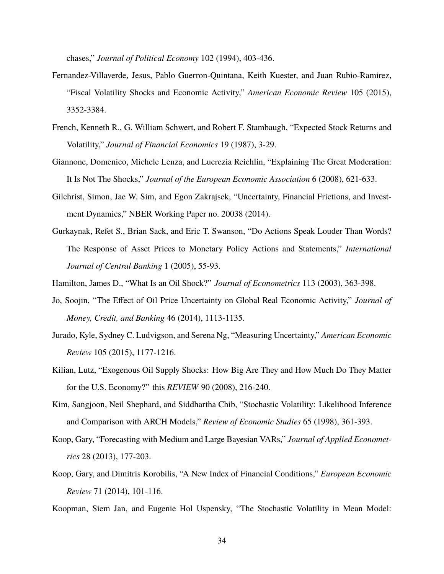chases," *Journal of Political Economy* 102 (1994), 403-436.

- Fernandez-Villaverde, Jesus, Pablo Guerron-Quintana, Keith Kuester, and Juan Rubio-Ramirez, "Fiscal Volatility Shocks and Economic Activity," *American Economic Review* 105 (2015), 3352-3384.
- French, Kenneth R., G. William Schwert, and Robert F. Stambaugh, "Expected Stock Returns and Volatility," *Journal of Financial Economics* 19 (1987), 3-29.
- Giannone, Domenico, Michele Lenza, and Lucrezia Reichlin, "Explaining The Great Moderation: It Is Not The Shocks," *Journal of the European Economic Association* 6 (2008), 621-633.
- Gilchrist, Simon, Jae W. Sim, and Egon Zakrajsek, "Uncertainty, Financial Frictions, and Investment Dynamics," NBER Working Paper no. 20038 (2014).
- Gurkaynak, Refet S., Brian Sack, and Eric T. Swanson, "Do Actions Speak Louder Than Words? The Response of Asset Prices to Monetary Policy Actions and Statements," *International Journal of Central Banking* 1 (2005), 55-93.
- Hamilton, James D., "What Is an Oil Shock?" *Journal of Econometrics* 113 (2003), 363-398.
- Jo, Soojin, "The Effect of Oil Price Uncertainty on Global Real Economic Activity," *Journal of Money, Credit, and Banking* 46 (2014), 1113-1135.
- Jurado, Kyle, Sydney C. Ludvigson, and Serena Ng, "Measuring Uncertainty," *American Economic Review* 105 (2015), 1177-1216.
- Kilian, Lutz, "Exogenous Oil Supply Shocks: How Big Are They and How Much Do They Matter for the U.S. Economy?" this *REVIEW* 90 (2008), 216-240.
- Kim, Sangjoon, Neil Shephard, and Siddhartha Chib, "Stochastic Volatility: Likelihood Inference and Comparison with ARCH Models," *Review of Economic Studies* 65 (1998), 361-393.
- Koop, Gary, "Forecasting with Medium and Large Bayesian VARs," *Journal of Applied Econometrics* 28 (2013), 177-203.
- Koop, Gary, and Dimitris Korobilis, "A New Index of Financial Conditions," *European Economic Review* 71 (2014), 101-116.
- Koopman, Siem Jan, and Eugenie Hol Uspensky, "The Stochastic Volatility in Mean Model: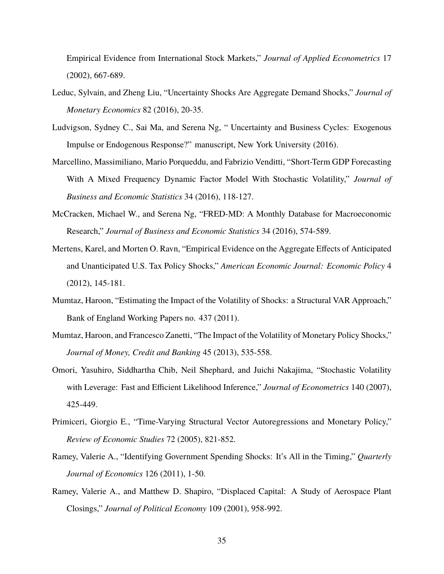Empirical Evidence from International Stock Markets," *Journal of Applied Econometrics* 17 (2002), 667-689.

- Leduc, Sylvain, and Zheng Liu, "Uncertainty Shocks Are Aggregate Demand Shocks," *Journal of Monetary Economics* 82 (2016), 20-35.
- Ludvigson, Sydney C., Sai Ma, and Serena Ng, " Uncertainty and Business Cycles: Exogenous Impulse or Endogenous Response?" manuscript, New York University (2016).
- Marcellino, Massimiliano, Mario Porqueddu, and Fabrizio Venditti, "Short-Term GDP Forecasting With A Mixed Frequency Dynamic Factor Model With Stochastic Volatility," *Journal of Business and Economic Statistics* 34 (2016), 118-127.
- McCracken, Michael W., and Serena Ng, "FRED-MD: A Monthly Database for Macroeconomic Research," *Journal of Business and Economic Statistics* 34 (2016), 574-589.
- Mertens, Karel, and Morten O. Ravn, "Empirical Evidence on the Aggregate Effects of Anticipated and Unanticipated U.S. Tax Policy Shocks," *American Economic Journal: Economic Policy* 4 (2012), 145-181.
- Mumtaz, Haroon, "Estimating the Impact of the Volatility of Shocks: a Structural VAR Approach," Bank of England Working Papers no. 437 (2011).
- Mumtaz, Haroon, and Francesco Zanetti, "The Impact of the Volatility of Monetary Policy Shocks," *Journal of Money, Credit and Banking* 45 (2013), 535-558.
- Omori, Yasuhiro, Siddhartha Chib, Neil Shephard, and Juichi Nakajima, "Stochastic Volatility with Leverage: Fast and Efficient Likelihood Inference," *Journal of Econometrics* 140 (2007), 425-449.
- Primiceri, Giorgio E., "Time-Varying Structural Vector Autoregressions and Monetary Policy," *Review of Economic Studies* 72 (2005), 821-852.
- Ramey, Valerie A., "Identifying Government Spending Shocks: It's All in the Timing," *Quarterly Journal of Economics* 126 (2011), 1-50.
- Ramey, Valerie A., and Matthew D. Shapiro, "Displaced Capital: A Study of Aerospace Plant Closings," *Journal of Political Economy* 109 (2001), 958-992.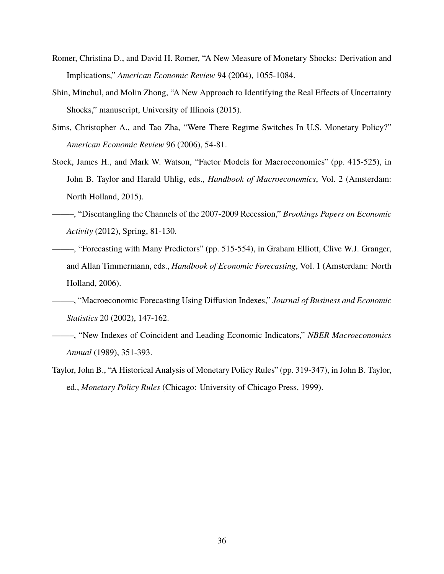- Romer, Christina D., and David H. Romer, "A New Measure of Monetary Shocks: Derivation and Implications," *American Economic Review* 94 (2004), 1055-1084.
- Shin, Minchul, and Molin Zhong, "A New Approach to Identifying the Real Effects of Uncertainty Shocks," manuscript, University of Illinois (2015).
- Sims, Christopher A., and Tao Zha, "Were There Regime Switches In U.S. Monetary Policy?" *American Economic Review* 96 (2006), 54-81.
- Stock, James H., and Mark W. Watson, "Factor Models for Macroeconomics" (pp. 415-525), in John B. Taylor and Harald Uhlig, eds., *Handbook of Macroeconomics*, Vol. 2 (Amsterdam: North Holland, 2015).
- ——–, "Disentangling the Channels of the 2007-2009 Recession," *Brookings Papers on Economic Activity* (2012), Spring, 81-130.
- ——–, "Forecasting with Many Predictors" (pp. 515-554), in Graham Elliott, Clive W.J. Granger, and Allan Timmermann, eds., *Handbook of Economic Forecasting*, Vol. 1 (Amsterdam: North Holland, 2006).
- ——–, "Macroeconomic Forecasting Using Diffusion Indexes," *Journal of Business and Economic Statistics* 20 (2002), 147-162.
- ——–, "New Indexes of Coincident and Leading Economic Indicators," *NBER Macroeconomics Annual* (1989), 351-393.
- Taylor, John B., "A Historical Analysis of Monetary Policy Rules" (pp. 319-347), in John B. Taylor, ed., *Monetary Policy Rules* (Chicago: University of Chicago Press, 1999).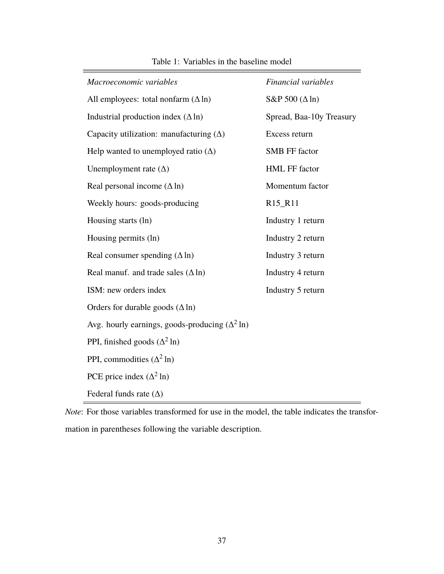| Macroeconomic variables                                | Financial variables              |  |
|--------------------------------------------------------|----------------------------------|--|
| All employees: total nonfarm $(\Delta \ln)$            | S&P 500 $(\Delta \ln)$           |  |
| Industrial production index $(\Delta \ln)$             | Spread, Baa-10y Treasury         |  |
| Capacity utilization: manufacturing $(\Delta)$         | Excess return                    |  |
| Help wanted to unemployed ratio $(\Delta)$             | <b>SMB FF factor</b>             |  |
| Unemployment rate $(\Delta)$                           | <b>HML FF factor</b>             |  |
| Real personal income $(\Delta \ln)$                    | Momentum factor                  |  |
| Weekly hours: goods-producing                          | R <sub>15</sub> _R <sub>11</sub> |  |
| Housing starts (ln)                                    | Industry 1 return                |  |
| Housing permits (ln)                                   | Industry 2 return                |  |
| Real consumer spending $(\Delta \ln)$                  | Industry 3 return                |  |
| Real manuf. and trade sales $(\Delta \ln)$             | Industry 4 return                |  |
| ISM: new orders index                                  | Industry 5 return                |  |
| Orders for durable goods $(\Delta \ln)$                |                                  |  |
| Avg. hourly earnings, goods-producing $(\Delta^2 \ln)$ |                                  |  |
| PPI, finished goods $(\Delta^2 \ln)$                   |                                  |  |
| PPI, commodities $(\Delta^2 \ln)$                      |                                  |  |
| PCE price index $(\Delta^2 \ln)$                       |                                  |  |
| Federal funds rate $(\Delta)$                          |                                  |  |

*Note*: For those variables transformed for use in the model, the table indicates the transformation in parentheses following the variable description.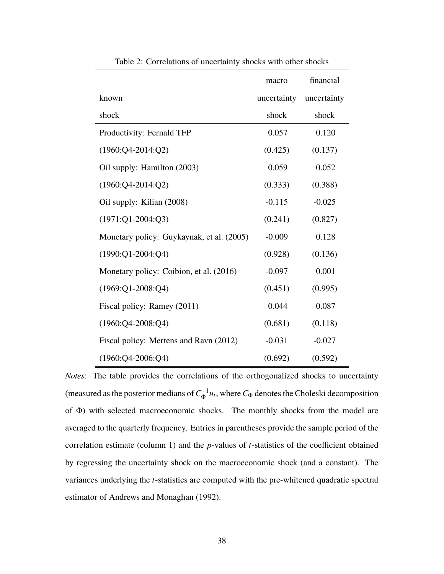|                                           | macro       | financial   |
|-------------------------------------------|-------------|-------------|
| known                                     | uncertainty | uncertainty |
| shock                                     | shock       | shock       |
| Productivity: Fernald TFP                 | 0.057       | 0.120       |
| $(1960:Q4-2014:Q2)$                       | (0.425)     | (0.137)     |
| Oil supply: Hamilton (2003)               | 0.059       | 0.052       |
| $(1960:Q4-2014:Q2)$                       | (0.333)     | (0.388)     |
| Oil supply: Kilian (2008)                 | $-0.115$    | $-0.025$    |
| $(1971:Q1-2004:Q3)$                       | (0.241)     | (0.827)     |
| Monetary policy: Guykaynak, et al. (2005) | $-0.009$    | 0.128       |
| $(1990:Q1-2004:Q4)$                       | (0.928)     | (0.136)     |
| Monetary policy: Coibion, et al. (2016)   | $-0.097$    | 0.001       |
| $(1969:Q1-2008:Q4)$                       | (0.451)     | (0.995)     |
| Fiscal policy: Ramey (2011)               | 0.044       | 0.087       |
| $(1960:Q4-2008:Q4)$                       | (0.681)     | (0.118)     |
| Fiscal policy: Mertens and Ravn (2012)    | $-0.031$    | $-0.027$    |
| $(1960:Q4-2006:Q4)$                       | (0.692)     | (0.592)     |

Table 2: Correlations of uncertainty shocks with other shocks

*Notes*: The table provides the correlations of the orthogonalized shocks to uncertainty (measured as the posterior medians of  $C^{-1}_\Phi u_t$ , where  $C_\Phi$  denotes the Choleski decomposition of Φ) with selected macroeconomic shocks. The monthly shocks from the model are averaged to the quarterly frequency. Entries in parentheses provide the sample period of the correlation estimate (column 1) and the *p*-values of *t*-statistics of the coefficient obtained by regressing the uncertainty shock on the macroeconomic shock (and a constant). The variances underlying the *t*-statistics are computed with the pre-whitened quadratic spectral estimator of Andrews and Monaghan (1992).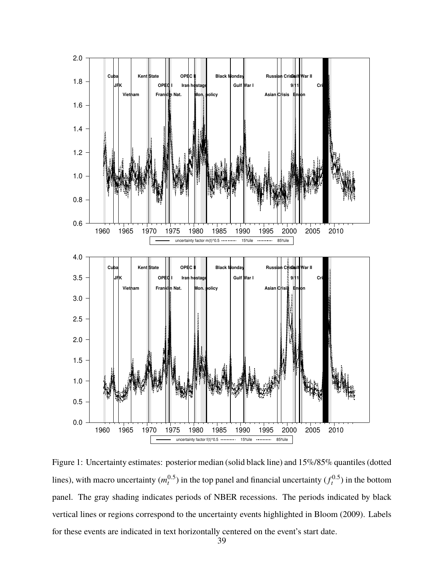

Figure 1: Uncertainty estimates: posterior median (solid black line) and 15%/85% quantiles (dotted lines), with macro uncertainty  $(m_t^{0.5})$  in the top panel and financial uncertainty  $(f_t^{0.5})$  in the bottom panel. The gray shading indicates periods of NBER recessions. The periods indicated by black vertical lines or regions correspond to the uncertainty events highlighted in Bloom (2009). Labels for these events are indicated in text horizontally centered on the event's start date.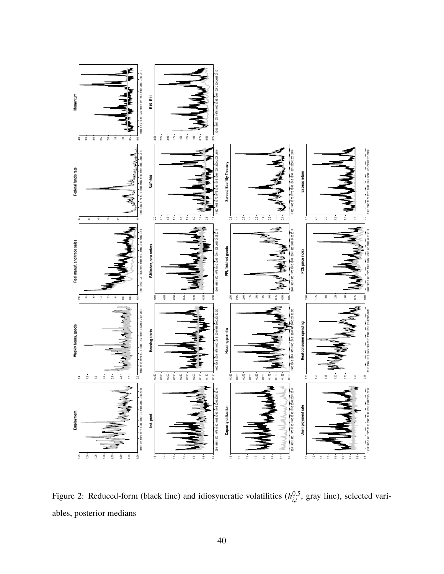

Figure 2: Reduced-form (black line) and idiosyncratic volatilities  $(h_{i,t}^{0.5})$  $_{i,t}^{0.5}$ , gray line), selected variables, posterior medians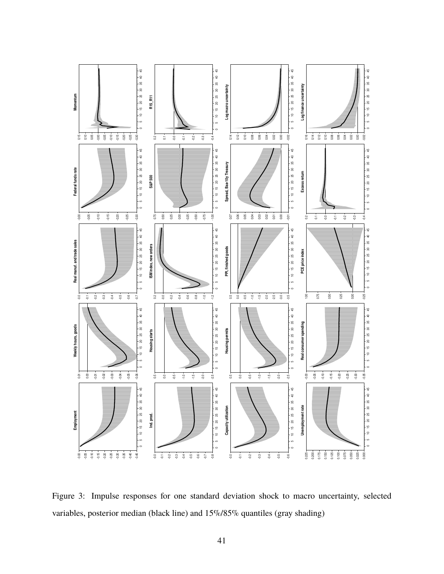

Figure 3: Impulse responses for one standard deviation shock to macro uncertainty, selected variables, posterior median (black line) and 15%/85% quantiles (gray shading)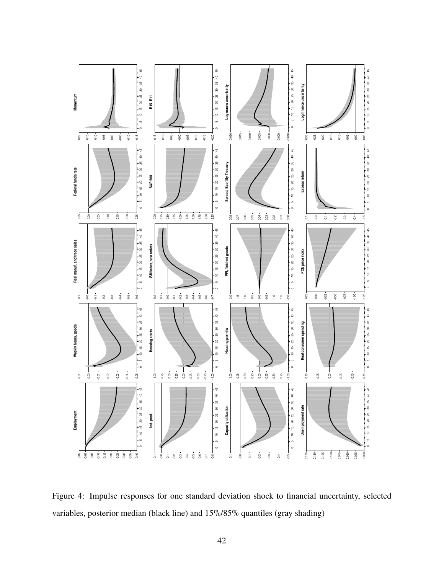

Figure 4: Impulse responses for one standard deviation shock to financial uncertainty, selected variables, posterior median (black line) and 15%/85% quantiles (gray shading)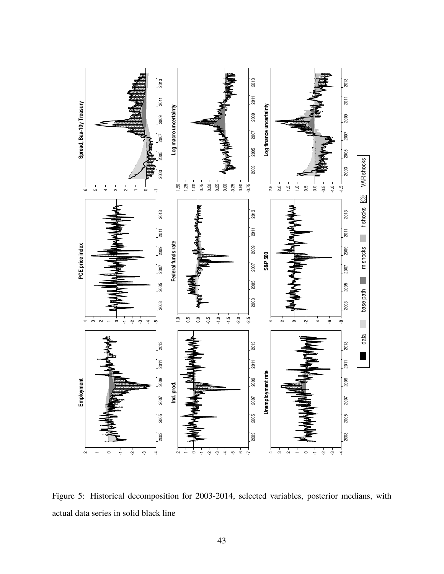

Figure 5: Historical decomposition for 2003-2014, selected variables, posterior medians, with actual data series in solid black line